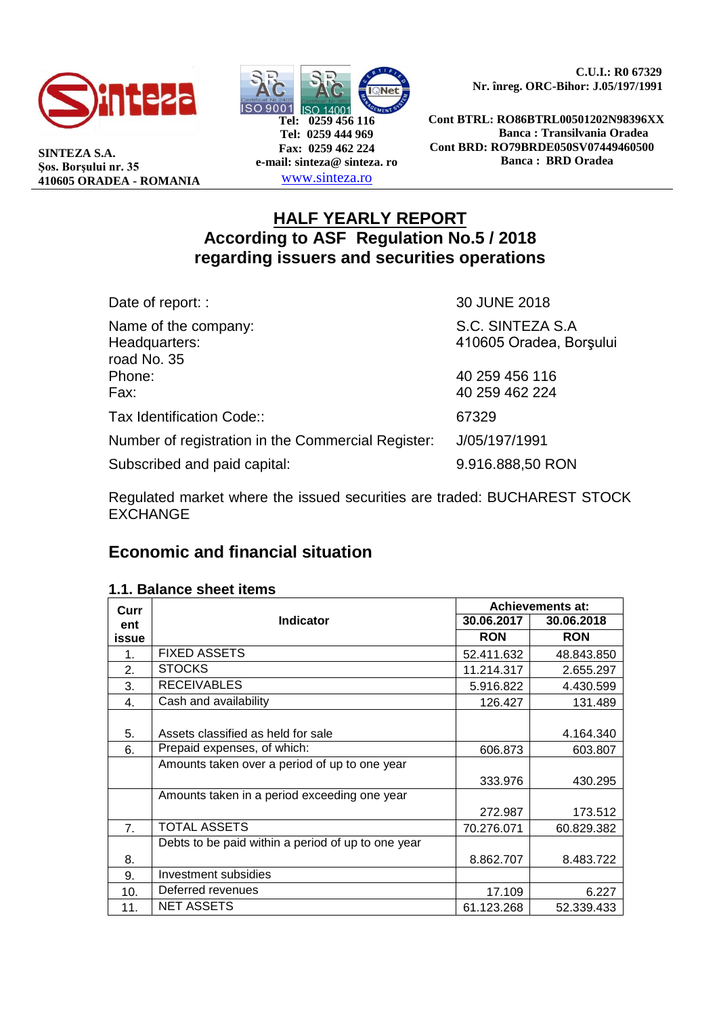

**SINTEZA S.A. Şos. Borşului nr. 35 410605 ORADEA - ROMANIA**



 **C.U.I.: R0 67329 Nr. înreg. ORC-Bihor: J.05/197/1991**

**Cont BTRL: RO86BTRL00501202N98396XX Banca : Transilvania Oradea Cont BRD: RO79BRDE050SV07449460500 Banca : BRD Oradea**

# **HALF YEARLY REPORT According to ASF Regulation No.5 / 2018 regarding issuers and securities operations**

| Date of report: :                                    | 30 JUNE 2018                                |
|------------------------------------------------------|---------------------------------------------|
| Name of the company:<br>Headquarters:<br>road No. 35 | S.C. SINTEZA S.A<br>410605 Oradea, Borșului |
| Phone:<br>Fax:                                       | 40 259 456 116<br>40 259 462 224            |
| Tax Identification Code::                            | 67329                                       |
| Number of registration in the Commercial Register:   | J/05/197/1991                               |
| Subscribed and paid capital:                         | 9.916.888,50 RON                            |

Regulated market where the issued securities are traded: BUCHAREST STOCK **EXCHANGE** 

# **Economic and financial situation**

## **1.1. Balance sheet items**

| Curr             |                                                    |            | <b>Achievements at:</b> |
|------------------|----------------------------------------------------|------------|-------------------------|
| ent              | <b>Indicator</b>                                   | 30.06.2017 | 30.06.2018              |
| issue            |                                                    | <b>RON</b> | <b>RON</b>              |
| 1.               | <b>FIXED ASSETS</b>                                | 52.411.632 | 48.843.850              |
| $\overline{2}$ . | <b>STOCKS</b>                                      | 11.214.317 | 2.655.297               |
| 3.               | <b>RECEIVABLES</b>                                 | 5.916.822  | 4.430.599               |
| 4.               | Cash and availability                              | 126.427    | 131.489                 |
|                  |                                                    |            |                         |
| 5.               | Assets classified as held for sale                 |            | 4.164.340               |
| 6.               | Prepaid expenses, of which:                        | 606.873    | 603.807                 |
|                  | Amounts taken over a period of up to one year      |            |                         |
|                  |                                                    | 333.976    | 430.295                 |
|                  | Amounts taken in a period exceeding one year       |            |                         |
|                  |                                                    | 272.987    | 173.512                 |
| 7.               | <b>TOTAL ASSETS</b>                                | 70.276.071 | 60.829.382              |
|                  | Debts to be paid within a period of up to one year |            |                         |
| 8.               |                                                    | 8.862.707  | 8.483.722               |
| 9.               | Investment subsidies                               |            |                         |
| 10.              | Deferred revenues                                  | 17.109     | 6.227                   |
| 11.              | <b>NET ASSETS</b>                                  | 61.123.268 | 52.339.433              |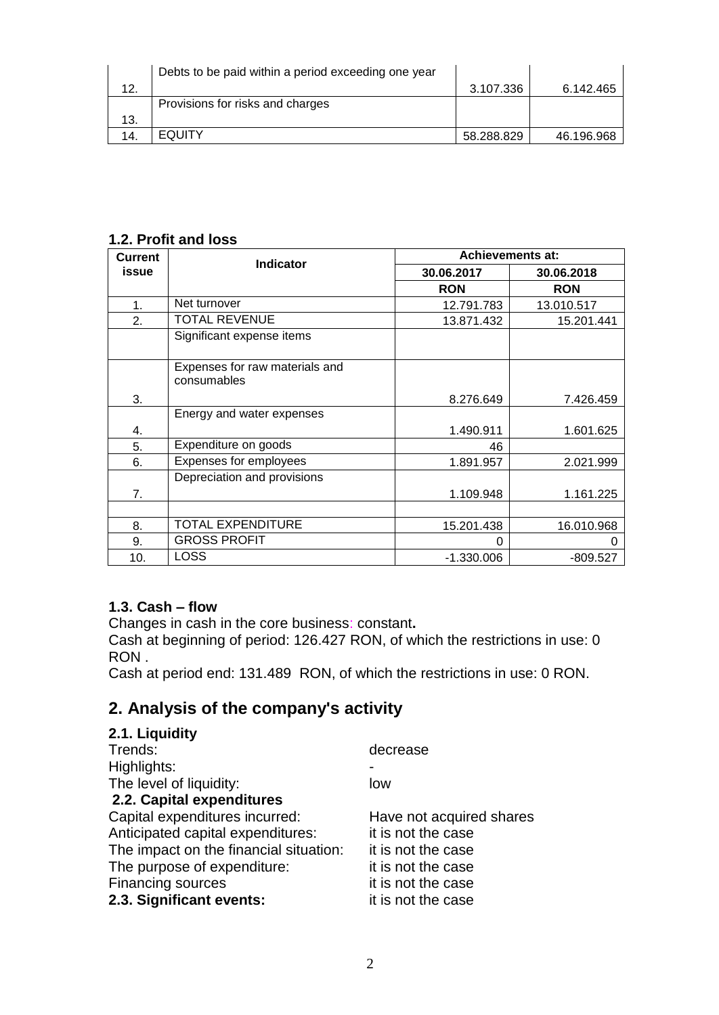|     | Debts to be paid within a period exceeding one year |            |            |
|-----|-----------------------------------------------------|------------|------------|
| 12. |                                                     | 3.107.336  | 6.142.465  |
|     | Provisions for risks and charges                    |            |            |
| 13. |                                                     |            |            |
| 14. | <b>EQUITY</b>                                       | 58.288.829 | 46.196.968 |

# **1.2. Profit and loss**

| <b>Current</b> | <b>Indicator</b>                              | <b>Achievements at:</b> |            |  |  |  |  |
|----------------|-----------------------------------------------|-------------------------|------------|--|--|--|--|
| issue          |                                               | 30.06.2017              | 30.06.2018 |  |  |  |  |
|                |                                               | <b>RON</b>              | <b>RON</b> |  |  |  |  |
| 1.             | Net turnover                                  | 12.791.783              | 13.010.517 |  |  |  |  |
| 2.             | <b>TOTAL REVENUE</b>                          | 13.871.432              | 15.201.441 |  |  |  |  |
|                | Significant expense items                     |                         |            |  |  |  |  |
|                | Expenses for raw materials and<br>consumables |                         |            |  |  |  |  |
| 3.             |                                               | 8.276.649               | 7.426.459  |  |  |  |  |
|                | Energy and water expenses                     |                         |            |  |  |  |  |
| 4.             |                                               | 1.490.911               | 1.601.625  |  |  |  |  |
| 5.             | Expenditure on goods                          | 46                      |            |  |  |  |  |
| 6.             | Expenses for employees                        | 1.891.957               | 2.021.999  |  |  |  |  |
|                | Depreciation and provisions                   |                         |            |  |  |  |  |
| 7.             |                                               | 1.109.948               | 1.161.225  |  |  |  |  |
|                |                                               |                         |            |  |  |  |  |
| 8.             | TOTAL EXPENDITURE                             | 15.201.438              | 16.010.968 |  |  |  |  |
| 9.             | <b>GROSS PROFIT</b>                           | 0                       |            |  |  |  |  |
| 10.            | LOSS                                          | -1.330.006              | $-809.527$ |  |  |  |  |

## **1.3. Cash – flow**

Changes in cash in the core business: constant**.**

Cash at beginning of period: 126.427 RON, of which the restrictions in use: 0 RON .

Cash at period end: 131.489 RON, of which the restrictions in use: 0 RON.

# **2. Analysis of the company's activity**

# **2.1. Liquidity**

| decrease                 |
|--------------------------|
|                          |
| low                      |
|                          |
| Have not acquired shares |
| it is not the case       |
| it is not the case       |
| it is not the case       |
| it is not the case       |
| it is not the case       |
|                          |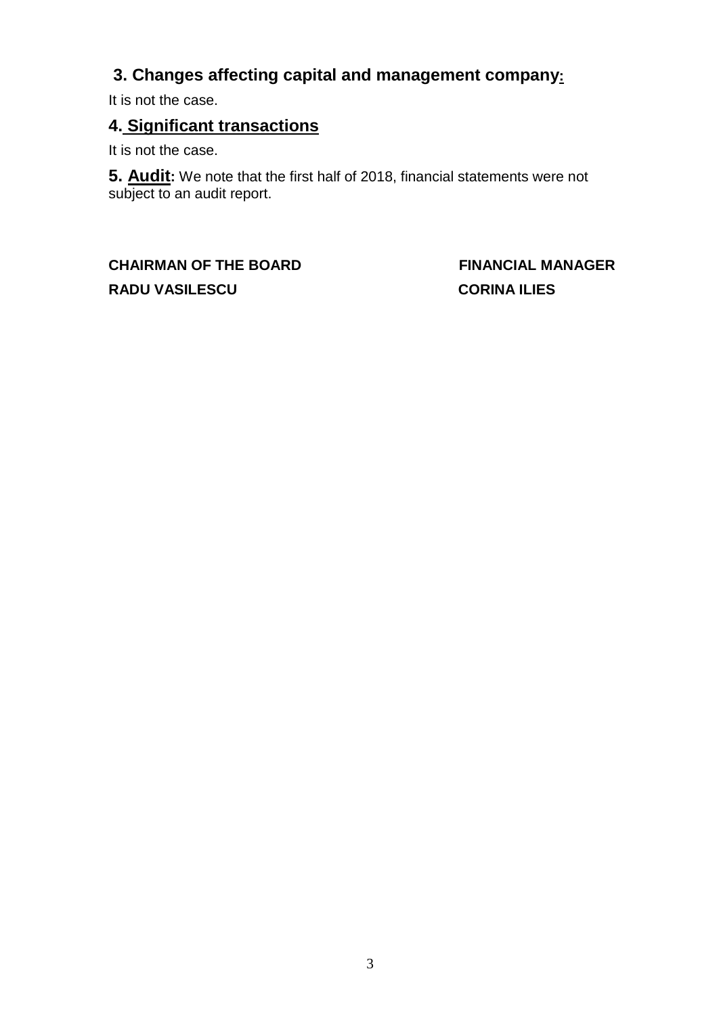# **3. Changes affecting capital and management company:**

It is not the case.

# **4. Significant transactions**

It is not the case.

**5. Audit:** We note that the first half of 2018, financial statements were not subject to an audit report.

**CHAIRMAN OF THE BOARD FINANCIAL MANAGER RADU VASILESCU CORINA ILIES**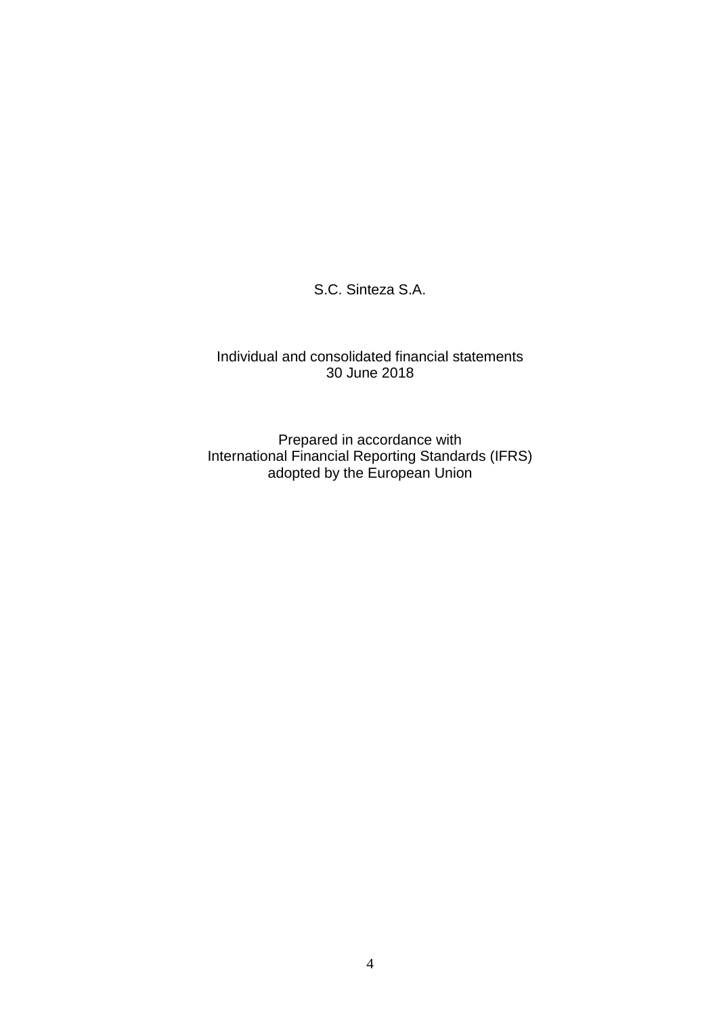S.C. Sinteza S.A.

### Individual and consolidated financial statements 30 June 2018

Prepared in accordance with International Financial Reporting Standards (IFRS) adopted by the European Union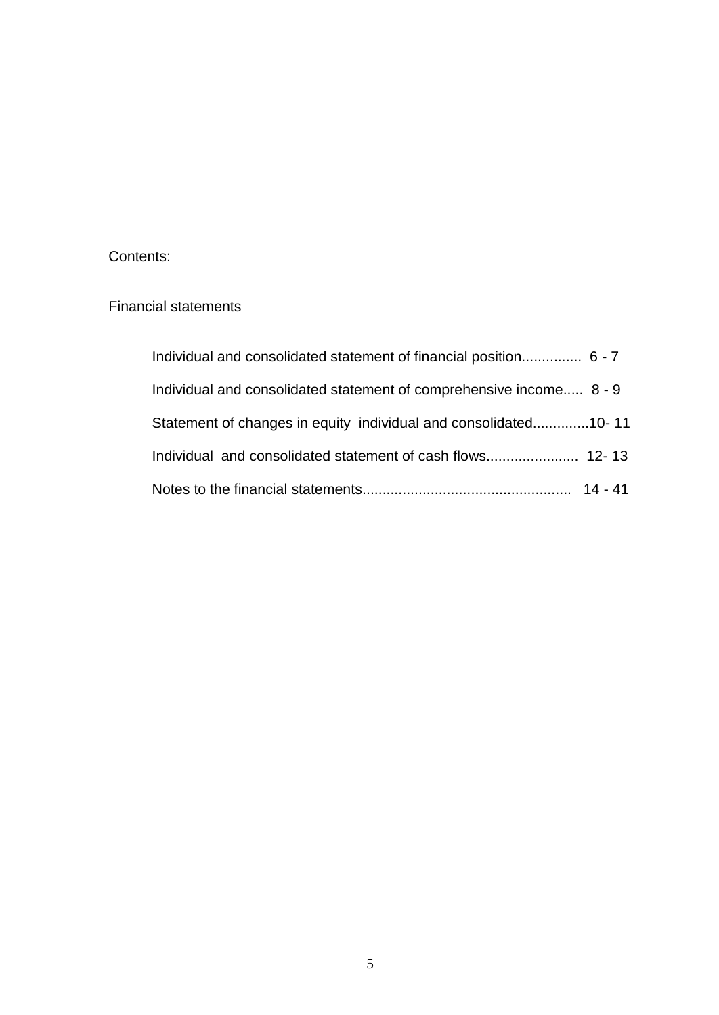### Contents:

## Financial statements

| Individual and consolidated statement of financial position 6 - 7   |  |
|---------------------------------------------------------------------|--|
| Individual and consolidated statement of comprehensive income 8 - 9 |  |
| Statement of changes in equity individual and consolidated10-11     |  |
|                                                                     |  |
|                                                                     |  |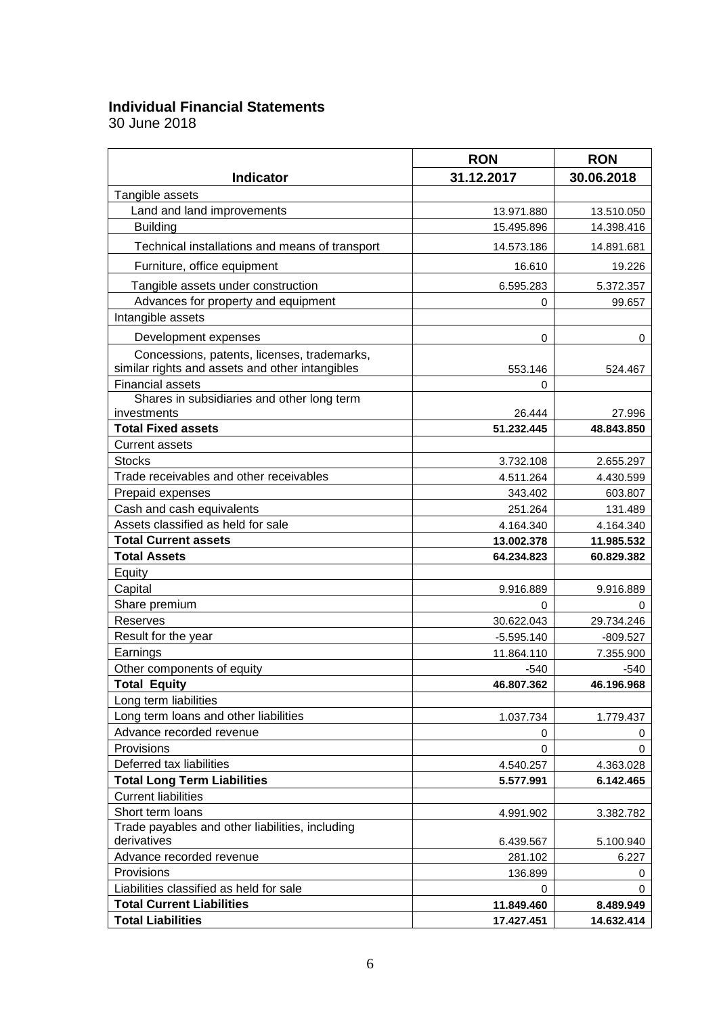## **Individual Financial Statements**

|                                                                | <b>RON</b>   | <b>RON</b> |  |  |
|----------------------------------------------------------------|--------------|------------|--|--|
| <b>Indicator</b>                                               | 31.12.2017   | 30.06.2018 |  |  |
| Tangible assets                                                |              |            |  |  |
| Land and land improvements                                     | 13.971.880   | 13.510.050 |  |  |
| <b>Building</b>                                                | 15.495.896   | 14.398.416 |  |  |
| Technical installations and means of transport                 | 14.573.186   | 14.891.681 |  |  |
| Furniture, office equipment                                    | 16.610       | 19.226     |  |  |
| Tangible assets under construction                             | 6.595.283    | 5.372.357  |  |  |
| Advances for property and equipment                            | 0            | 99.657     |  |  |
| Intangible assets                                              |              |            |  |  |
| Development expenses                                           | 0            | 0          |  |  |
| Concessions, patents, licenses, trademarks,                    |              |            |  |  |
| similar rights and assets and other intangibles                | 553.146      | 524.467    |  |  |
| <b>Financial assets</b>                                        | 0            |            |  |  |
| Shares in subsidiaries and other long term                     |              |            |  |  |
| investments                                                    | 26.444       | 27.996     |  |  |
| <b>Total Fixed assets</b>                                      | 51.232.445   | 48.843.850 |  |  |
| <b>Current assets</b>                                          |              |            |  |  |
| <b>Stocks</b>                                                  | 3.732.108    | 2.655.297  |  |  |
| Trade receivables and other receivables                        | 4.511.264    | 4.430.599  |  |  |
| Prepaid expenses                                               | 343.402      | 603.807    |  |  |
| Cash and cash equivalents                                      | 251.264      | 131.489    |  |  |
| Assets classified as held for sale                             | 4.164.340    | 4.164.340  |  |  |
| <b>Total Current assets</b>                                    | 13.002.378   | 11.985.532 |  |  |
| <b>Total Assets</b>                                            | 64.234.823   | 60.829.382 |  |  |
| Equity                                                         |              |            |  |  |
| Capital                                                        | 9.916.889    | 9.916.889  |  |  |
| Share premium                                                  | 0            | 0          |  |  |
| Reserves                                                       | 30.622.043   | 29.734.246 |  |  |
| Result for the year                                            | $-5.595.140$ | $-809.527$ |  |  |
| Earnings                                                       | 11.864.110   | 7.355.900  |  |  |
| Other components of equity                                     | -540         | $-540$     |  |  |
| <b>Total Equity</b>                                            | 46.807.362   | 46.196.968 |  |  |
| Long term liabilities                                          |              |            |  |  |
| Long term loans and other liabilities                          | 1.037.734    | 1.779.437  |  |  |
| Advance recorded revenue                                       | 0            | 0          |  |  |
| Provisions                                                     | 0            | $\Omega$   |  |  |
| Deferred tax liabilities                                       | 4.540.257    | 4.363.028  |  |  |
| <b>Total Long Term Liabilities</b>                             | 5.577.991    | 6.142.465  |  |  |
| <b>Current liabilities</b>                                     |              |            |  |  |
| Short term loans                                               | 4.991.902    | 3.382.782  |  |  |
| Trade payables and other liabilities, including<br>derivatives | 6.439.567    | 5.100.940  |  |  |
| Advance recorded revenue                                       | 281.102      | 6.227      |  |  |
| Provisions                                                     | 136.899      | 0          |  |  |
| Liabilities classified as held for sale                        | 0            | 0          |  |  |
| <b>Total Current Liabilities</b>                               | 11.849.460   | 8.489.949  |  |  |
| <b>Total Liabilities</b>                                       | 17.427.451   | 14.632.414 |  |  |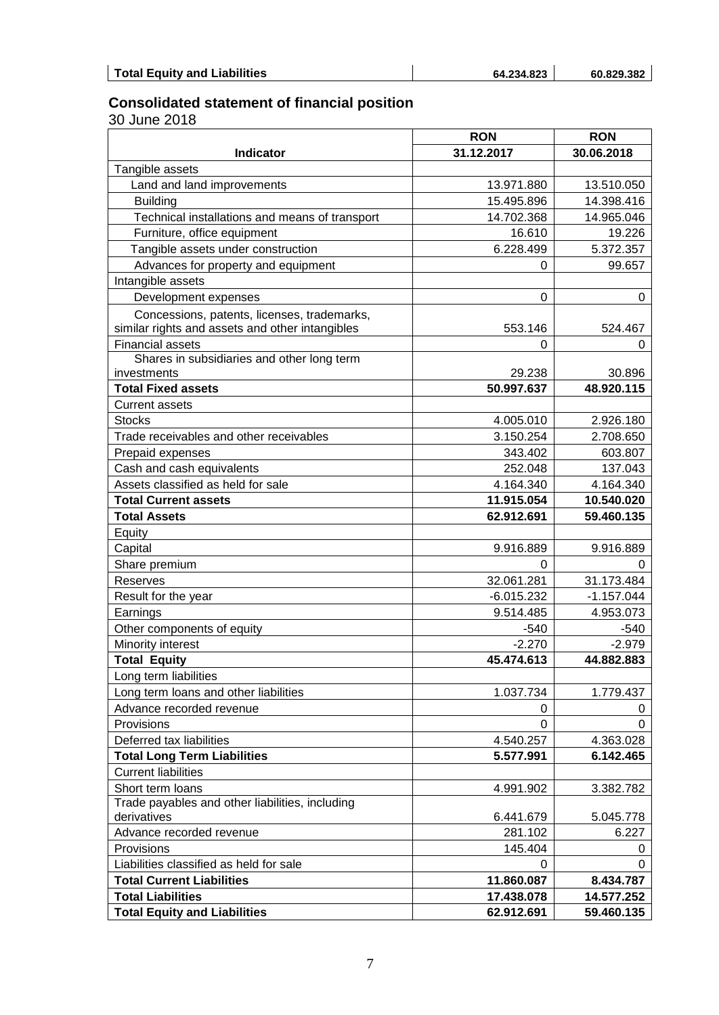#### **Consolidated statement of financial position**

|                                                 | <b>RON</b>   | <b>RON</b>   |  |  |  |
|-------------------------------------------------|--------------|--------------|--|--|--|
| <b>Indicator</b>                                | 31.12.2017   | 30.06.2018   |  |  |  |
| Tangible assets                                 |              |              |  |  |  |
| Land and land improvements                      | 13.971.880   | 13.510.050   |  |  |  |
| <b>Building</b>                                 | 15.495.896   | 14.398.416   |  |  |  |
| Technical installations and means of transport  | 14.702.368   | 14.965.046   |  |  |  |
| Furniture, office equipment                     | 16.610       | 19.226       |  |  |  |
| Tangible assets under construction              | 6.228.499    | 5.372.357    |  |  |  |
| Advances for property and equipment             | 0            | 99.657       |  |  |  |
| Intangible assets                               |              |              |  |  |  |
| Development expenses                            | $\mathbf 0$  | 0            |  |  |  |
| Concessions, patents, licenses, trademarks,     |              |              |  |  |  |
| similar rights and assets and other intangibles | 553.146      | 524.467      |  |  |  |
| <b>Financial assets</b>                         | 0            | 0            |  |  |  |
| Shares in subsidiaries and other long term      |              |              |  |  |  |
| investments                                     | 29.238       | 30.896       |  |  |  |
| <b>Total Fixed assets</b>                       | 50.997.637   | 48.920.115   |  |  |  |
| <b>Current assets</b>                           |              |              |  |  |  |
| <b>Stocks</b>                                   | 4.005.010    | 2.926.180    |  |  |  |
| Trade receivables and other receivables         | 3.150.254    | 2.708.650    |  |  |  |
| Prepaid expenses                                | 343.402      | 603.807      |  |  |  |
| Cash and cash equivalents                       | 252.048      | 137.043      |  |  |  |
| Assets classified as held for sale              | 4.164.340    | 4.164.340    |  |  |  |
| <b>Total Current assets</b>                     | 11.915.054   | 10.540.020   |  |  |  |
| <b>Total Assets</b>                             | 62.912.691   | 59.460.135   |  |  |  |
| Equity                                          |              |              |  |  |  |
| Capital                                         | 9.916.889    | 9.916.889    |  |  |  |
| Share premium                                   | 0            | 0            |  |  |  |
| Reserves                                        | 32.061.281   | 31.173.484   |  |  |  |
| Result for the year                             | $-6.015.232$ | $-1.157.044$ |  |  |  |
| Earnings                                        | 9.514.485    | 4.953.073    |  |  |  |
| Other components of equity                      | $-540$       | $-540$       |  |  |  |
| Minority interest                               | $-2.270$     | $-2.979$     |  |  |  |
| <b>Total Equity</b>                             | 45.474.613   | 44.882.883   |  |  |  |
| Long term liabilities                           |              |              |  |  |  |
| Long term loans and other liabilities           | 1.037.734    | 1.779.437    |  |  |  |
| Advance recorded revenue                        | 0            | 0            |  |  |  |
| Provisions                                      | 0            | 0            |  |  |  |
| Deferred tax liabilities                        | 4.540.257    | 4.363.028    |  |  |  |
| <b>Total Long Term Liabilities</b>              | 5.577.991    | 6.142.465    |  |  |  |
| <b>Current liabilities</b>                      |              |              |  |  |  |
| Short term loans                                | 4.991.902    | 3.382.782    |  |  |  |
| Trade payables and other liabilities, including |              |              |  |  |  |
| derivatives                                     | 6.441.679    | 5.045.778    |  |  |  |
| Advance recorded revenue                        | 281.102      | 6.227        |  |  |  |
| Provisions                                      | 145.404      | 0            |  |  |  |
| Liabilities classified as held for sale         | 0            | 0            |  |  |  |
| <b>Total Current Liabilities</b>                | 11.860.087   | 8.434.787    |  |  |  |
| <b>Total Liabilities</b>                        | 17.438.078   | 14.577.252   |  |  |  |
| <b>Total Equity and Liabilities</b>             | 62.912.691   | 59.460.135   |  |  |  |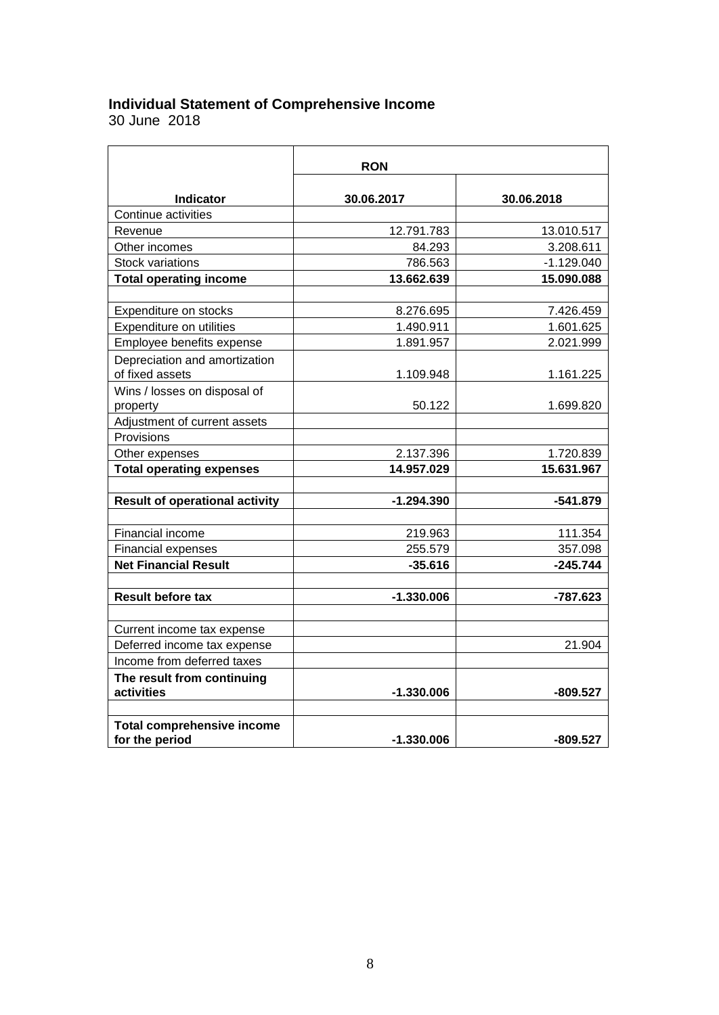#### **Individual Statement of Comprehensive Income**

|                                                     | <b>RON</b>   |              |
|-----------------------------------------------------|--------------|--------------|
| <b>Indicator</b>                                    | 30.06.2017   | 30.06.2018   |
| Continue activities                                 |              |              |
| Revenue                                             | 12.791.783   | 13.010.517   |
| Other incomes                                       | 84.293       | 3.208.611    |
| Stock variations                                    | 786.563      | $-1.129.040$ |
| <b>Total operating income</b>                       | 13.662.639   | 15.090.088   |
|                                                     |              |              |
| Expenditure on stocks                               | 8.276.695    | 7.426.459    |
| Expenditure on utilities                            | 1.490.911    | 1.601.625    |
| Employee benefits expense                           | 1.891.957    | 2.021.999    |
| Depreciation and amortization<br>of fixed assets    | 1.109.948    | 1.161.225    |
| Wins / losses on disposal of                        |              |              |
| property                                            | 50.122       | 1.699.820    |
| Adjustment of current assets                        |              |              |
| Provisions                                          |              |              |
| Other expenses                                      | 2.137.396    | 1.720.839    |
| <b>Total operating expenses</b>                     | 14.957.029   | 15.631.967   |
|                                                     |              |              |
| <b>Result of operational activity</b>               | $-1.294.390$ | $-541.879$   |
|                                                     |              |              |
| Financial income                                    | 219.963      | 111.354      |
| <b>Financial expenses</b>                           | 255.579      | 357.098      |
| <b>Net Financial Result</b>                         | $-35.616$    | $-245.744$   |
| <b>Result before tax</b>                            | $-1.330.006$ | -787.623     |
|                                                     |              |              |
| Current income tax expense                          |              |              |
| Deferred income tax expense                         |              | 21.904       |
| Income from deferred taxes                          |              |              |
| The result from continuing<br>activities            | $-1.330.006$ | $-809.527$   |
|                                                     |              |              |
| <b>Total comprehensive income</b><br>for the period | $-1.330.006$ | $-809.527$   |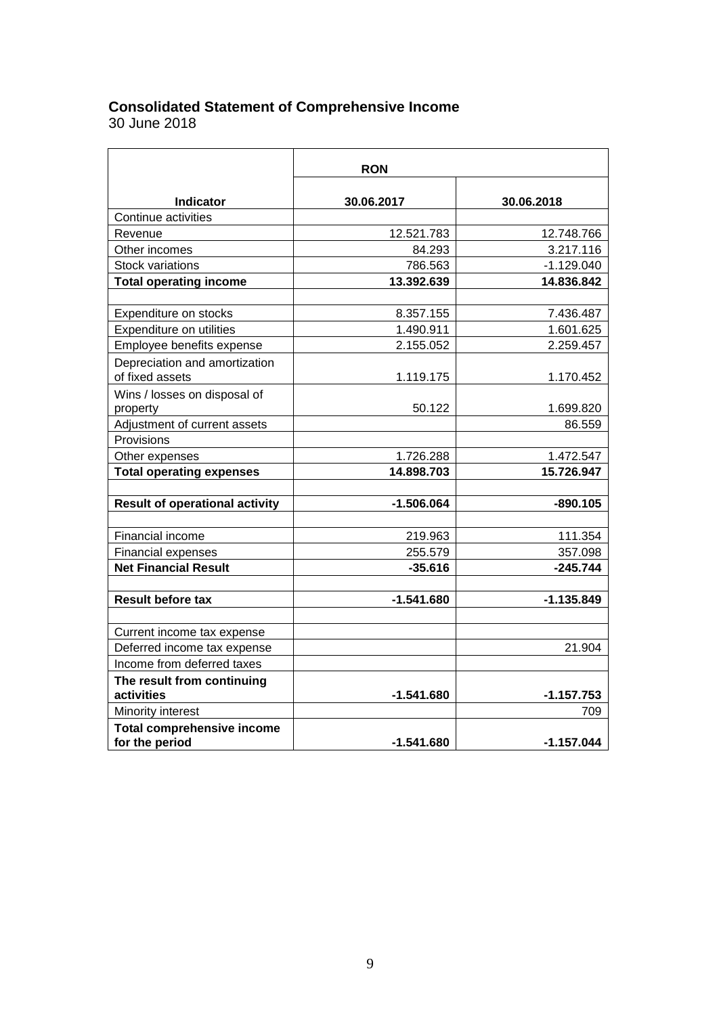### **Consolidated Statement of Comprehensive Income**

|                                                          | <b>RON</b>   |              |
|----------------------------------------------------------|--------------|--------------|
| Indicator                                                | 30.06.2017   | 30.06.2018   |
| Continue activities                                      |              |              |
| Revenue                                                  | 12.521.783   | 12.748.766   |
| Other incomes                                            | 84.293       | 3.217.116    |
| <b>Stock variations</b>                                  | 786.563      | $-1.129.040$ |
| <b>Total operating income</b>                            | 13.392.639   | 14.836.842   |
|                                                          |              |              |
| Expenditure on stocks                                    | 8.357.155    | 7.436.487    |
| Expenditure on utilities                                 | 1.490.911    | 1.601.625    |
| Employee benefits expense                                | 2.155.052    | 2.259.457    |
| Depreciation and amortization                            |              |              |
| of fixed assets                                          | 1.119.175    | 1.170.452    |
| Wins / losses on disposal of<br>property                 | 50.122       | 1.699.820    |
| Adjustment of current assets                             |              | 86.559       |
| Provisions                                               |              |              |
| Other expenses                                           | 1.726.288    | 1.472.547    |
| <b>Total operating expenses</b>                          | 14.898.703   | 15.726.947   |
|                                                          |              |              |
| <b>Result of operational activity</b>                    | $-1.506.064$ | $-890.105$   |
|                                                          |              |              |
| Financial income                                         | 219.963      | 111.354      |
| <b>Financial expenses</b><br><b>Net Financial Result</b> | 255.579      | 357.098      |
|                                                          | $-35.616$    | $-245.744$   |
| <b>Result before tax</b>                                 | $-1.541.680$ | $-1.135.849$ |
|                                                          |              |              |
| Current income tax expense                               |              |              |
| Deferred income tax expense                              |              | 21.904       |
| Income from deferred taxes                               |              |              |
| The result from continuing<br>activities                 | $-1.541.680$ | $-1.157.753$ |
| Minority interest                                        |              | 709          |
| <b>Total comprehensive income</b>                        |              |              |
| for the period                                           | $-1.541.680$ | $-1.157.044$ |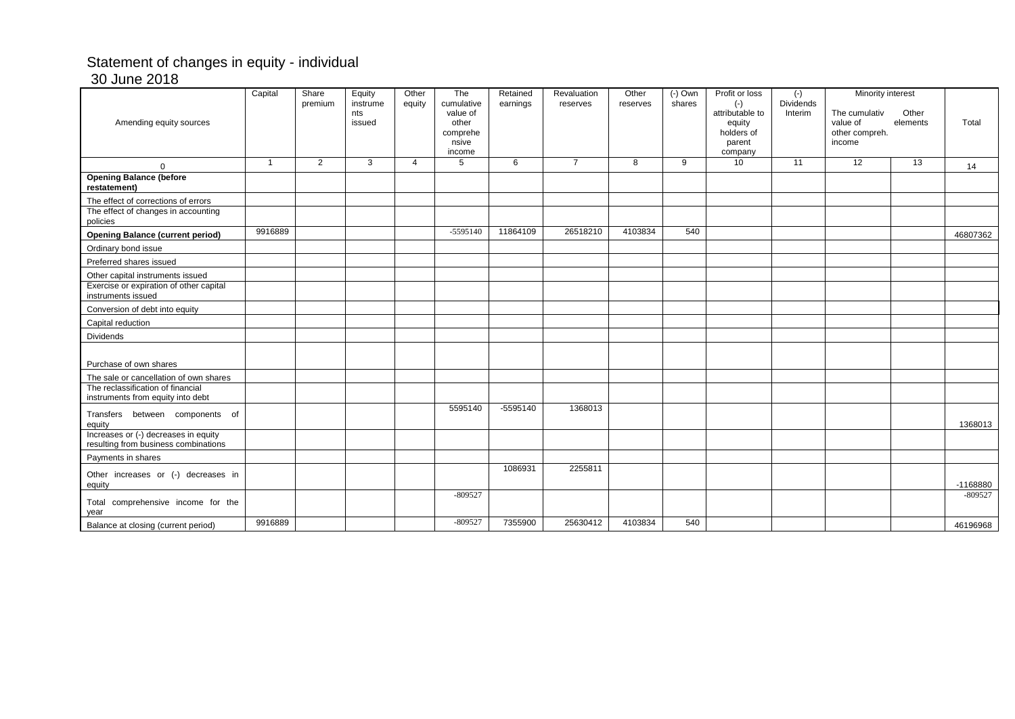### Statement of changes in equity - individual 30 June 2018

| Amending equity sources                                                      | Capital        | Share<br>premium | Equity<br>instrume<br>nts<br>issued | Other<br>equity | The<br>cumulative<br>value of<br>other<br>comprehe<br>nsive<br>income | Retained<br>earnings | Revaluation<br>reserves | Other<br>reserves | $(-)$ Own<br>shares | Profit or loss<br>$(-)$<br>attributable to<br>equity<br>holders of<br>parent<br>company | $(-)$<br><b>Dividends</b><br>Interim | Minority interest<br>The cumulativ<br>value of<br>other compreh.<br>income | Other<br>elements | Total      |
|------------------------------------------------------------------------------|----------------|------------------|-------------------------------------|-----------------|-----------------------------------------------------------------------|----------------------|-------------------------|-------------------|---------------------|-----------------------------------------------------------------------------------------|--------------------------------------|----------------------------------------------------------------------------|-------------------|------------|
| $\Omega$                                                                     | $\overline{1}$ | 2                | 3                                   | $\overline{4}$  | 5                                                                     | 6                    | $\overline{7}$          | 8                 | 9                   | 10                                                                                      | 11                                   | 12                                                                         | 13                | 14         |
| <b>Opening Balance (before</b><br>restatement)                               |                |                  |                                     |                 |                                                                       |                      |                         |                   |                     |                                                                                         |                                      |                                                                            |                   |            |
| The effect of corrections of errors                                          |                |                  |                                     |                 |                                                                       |                      |                         |                   |                     |                                                                                         |                                      |                                                                            |                   |            |
| The effect of changes in accounting<br>policies                              |                |                  |                                     |                 |                                                                       |                      |                         |                   |                     |                                                                                         |                                      |                                                                            |                   |            |
| <b>Opening Balance (current period)</b>                                      | 9916889        |                  |                                     |                 | $-5595140$                                                            | 11864109             | 26518210                | 4103834           | 540                 |                                                                                         |                                      |                                                                            |                   | 46807362   |
| Ordinary bond issue                                                          |                |                  |                                     |                 |                                                                       |                      |                         |                   |                     |                                                                                         |                                      |                                                                            |                   |            |
| Preferred shares issued                                                      |                |                  |                                     |                 |                                                                       |                      |                         |                   |                     |                                                                                         |                                      |                                                                            |                   |            |
| Other capital instruments issued                                             |                |                  |                                     |                 |                                                                       |                      |                         |                   |                     |                                                                                         |                                      |                                                                            |                   |            |
| Exercise or expiration of other capital<br>instruments issued                |                |                  |                                     |                 |                                                                       |                      |                         |                   |                     |                                                                                         |                                      |                                                                            |                   |            |
| Conversion of debt into equity                                               |                |                  |                                     |                 |                                                                       |                      |                         |                   |                     |                                                                                         |                                      |                                                                            |                   |            |
| Capital reduction                                                            |                |                  |                                     |                 |                                                                       |                      |                         |                   |                     |                                                                                         |                                      |                                                                            |                   |            |
| Dividends                                                                    |                |                  |                                     |                 |                                                                       |                      |                         |                   |                     |                                                                                         |                                      |                                                                            |                   |            |
| Purchase of own shares                                                       |                |                  |                                     |                 |                                                                       |                      |                         |                   |                     |                                                                                         |                                      |                                                                            |                   |            |
| The sale or cancellation of own shares                                       |                |                  |                                     |                 |                                                                       |                      |                         |                   |                     |                                                                                         |                                      |                                                                            |                   |            |
| The reclassification of financial<br>instruments from equity into debt       |                |                  |                                     |                 |                                                                       |                      |                         |                   |                     |                                                                                         |                                      |                                                                            |                   |            |
|                                                                              |                |                  |                                     |                 | 5595140                                                               | $-5595140$           | 1368013                 |                   |                     |                                                                                         |                                      |                                                                            |                   |            |
| Transfers between components of<br>equity                                    |                |                  |                                     |                 |                                                                       |                      |                         |                   |                     |                                                                                         |                                      |                                                                            |                   | 1368013    |
| Increases or (-) decreases in equity<br>resulting from business combinations |                |                  |                                     |                 |                                                                       |                      |                         |                   |                     |                                                                                         |                                      |                                                                            |                   |            |
| Payments in shares                                                           |                |                  |                                     |                 |                                                                       |                      |                         |                   |                     |                                                                                         |                                      |                                                                            |                   |            |
| Other increases or (-) decreases in<br>equity                                |                |                  |                                     |                 |                                                                       | 1086931              | 2255811                 |                   |                     |                                                                                         |                                      |                                                                            |                   | $-1168880$ |
| Total comprehensive income for the<br>year                                   |                |                  |                                     |                 | $-809527$                                                             |                      |                         |                   |                     |                                                                                         |                                      |                                                                            |                   | $-809527$  |
| Balance at closing (current period)                                          | 9916889        |                  |                                     |                 | $-809527$                                                             | 7355900              | 25630412                | 4103834           | 540                 |                                                                                         |                                      |                                                                            |                   | 46196968   |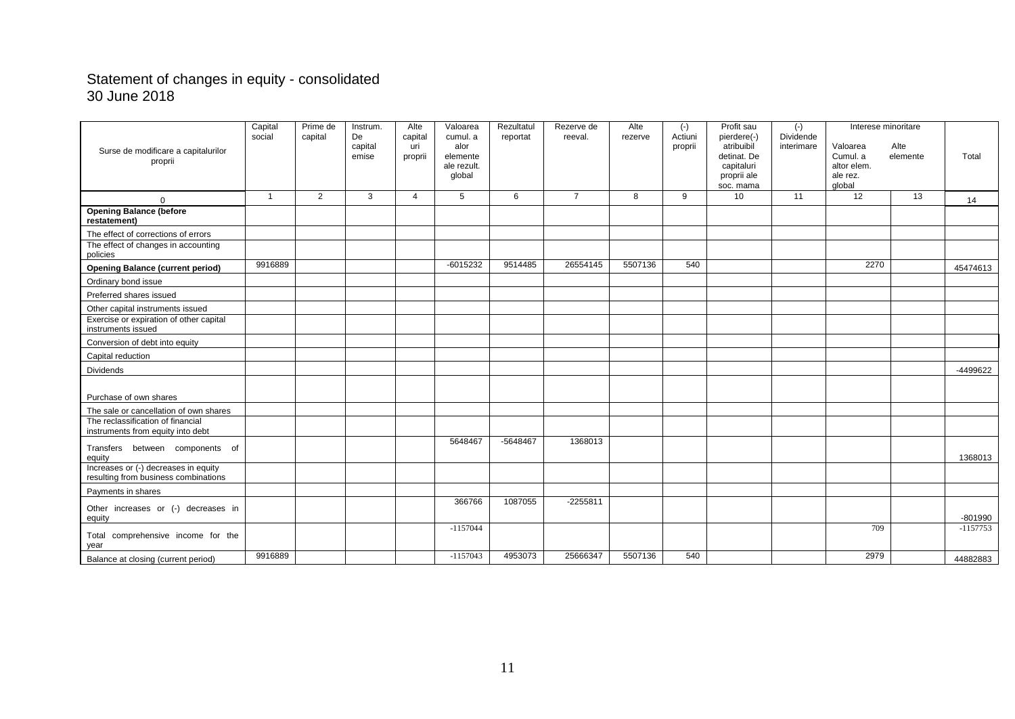### Statement of changes in equity - consolidated 30 June 2018

|                                                                              | Capital        | Prime de | Instrum.      | Alte           | Valoarea         | Rezultatul | Rezerve de     | Alte    | $(-)$              | Profit sau                | $(-)$                   | Interese minoritare |          |            |
|------------------------------------------------------------------------------|----------------|----------|---------------|----------------|------------------|------------|----------------|---------|--------------------|---------------------------|-------------------------|---------------------|----------|------------|
|                                                                              | social         | capital  | De<br>capital | capital<br>uri | cumul. a<br>alor | reportat   | reeval.        | rezerve | Actiuni<br>proprii | pierdere(-)<br>atribuibil | Dividende<br>interimare | Valoarea            | Alte     |            |
| Surse de modificare a capitalurilor                                          |                |          | emise         | proprii        | elemente         |            |                |         |                    | detinat. De               |                         | Cumul, a            | elemente | Total      |
| proprii                                                                      |                |          |               |                | ale rezult.      |            |                |         |                    | capitaluri                |                         | altor elem.         |          |            |
|                                                                              |                |          |               |                | global           |            |                |         |                    | proprii ale               |                         | ale rez.            |          |            |
|                                                                              |                |          |               |                |                  |            |                |         |                    | soc. mama                 |                         | global              |          |            |
| $\Omega$                                                                     | $\overline{1}$ | 2        | 3             | $\overline{4}$ | 5                | 6          | $\overline{7}$ | 8       | 9                  | 10                        | 11                      | 12                  | 13       | 14         |
| <b>Opening Balance (before</b><br>restatement)                               |                |          |               |                |                  |            |                |         |                    |                           |                         |                     |          |            |
| The effect of corrections of errors                                          |                |          |               |                |                  |            |                |         |                    |                           |                         |                     |          |            |
| The effect of changes in accounting<br>policies                              |                |          |               |                |                  |            |                |         |                    |                           |                         |                     |          |            |
| <b>Opening Balance (current period)</b>                                      | 9916889        |          |               |                | $-6015232$       | 9514485    | 26554145       | 5507136 | 540                |                           |                         | 2270                |          | 45474613   |
| Ordinary bond issue                                                          |                |          |               |                |                  |            |                |         |                    |                           |                         |                     |          |            |
| Preferred shares issued                                                      |                |          |               |                |                  |            |                |         |                    |                           |                         |                     |          |            |
| Other capital instruments issued                                             |                |          |               |                |                  |            |                |         |                    |                           |                         |                     |          |            |
| Exercise or expiration of other capital<br>instruments issued                |                |          |               |                |                  |            |                |         |                    |                           |                         |                     |          |            |
| Conversion of debt into equity                                               |                |          |               |                |                  |            |                |         |                    |                           |                         |                     |          |            |
| Capital reduction                                                            |                |          |               |                |                  |            |                |         |                    |                           |                         |                     |          |            |
| Dividends                                                                    |                |          |               |                |                  |            |                |         |                    |                           |                         |                     |          | -4499622   |
|                                                                              |                |          |               |                |                  |            |                |         |                    |                           |                         |                     |          |            |
| Purchase of own shares                                                       |                |          |               |                |                  |            |                |         |                    |                           |                         |                     |          |            |
| The sale or cancellation of own shares                                       |                |          |               |                |                  |            |                |         |                    |                           |                         |                     |          |            |
| The reclassification of financial<br>instruments from equity into debt       |                |          |               |                |                  |            |                |         |                    |                           |                         |                     |          |            |
|                                                                              |                |          |               |                | 5648467          | -5648467   | 1368013        |         |                    |                           |                         |                     |          |            |
| Transfers between components of<br>equity                                    |                |          |               |                |                  |            |                |         |                    |                           |                         |                     |          | 1368013    |
| Increases or (-) decreases in equity<br>resulting from business combinations |                |          |               |                |                  |            |                |         |                    |                           |                         |                     |          |            |
| Payments in shares                                                           |                |          |               |                |                  |            |                |         |                    |                           |                         |                     |          |            |
| Other increases or (-) decreases in<br>equity                                |                |          |               |                | 366766           | 1087055    | $-2255811$     |         |                    |                           |                         |                     |          | $-801990$  |
|                                                                              |                |          |               |                | $-1157044$       |            |                |         |                    |                           |                         | 709                 |          | $-1157753$ |
| Total comprehensive income for the<br>year                                   |                |          |               |                |                  |            |                |         |                    |                           |                         |                     |          |            |
| Balance at closing (current period)                                          | 9916889        |          |               |                | $-1157043$       | 4953073    | 25666347       | 5507136 | 540                |                           |                         | 2979                |          | 44882883   |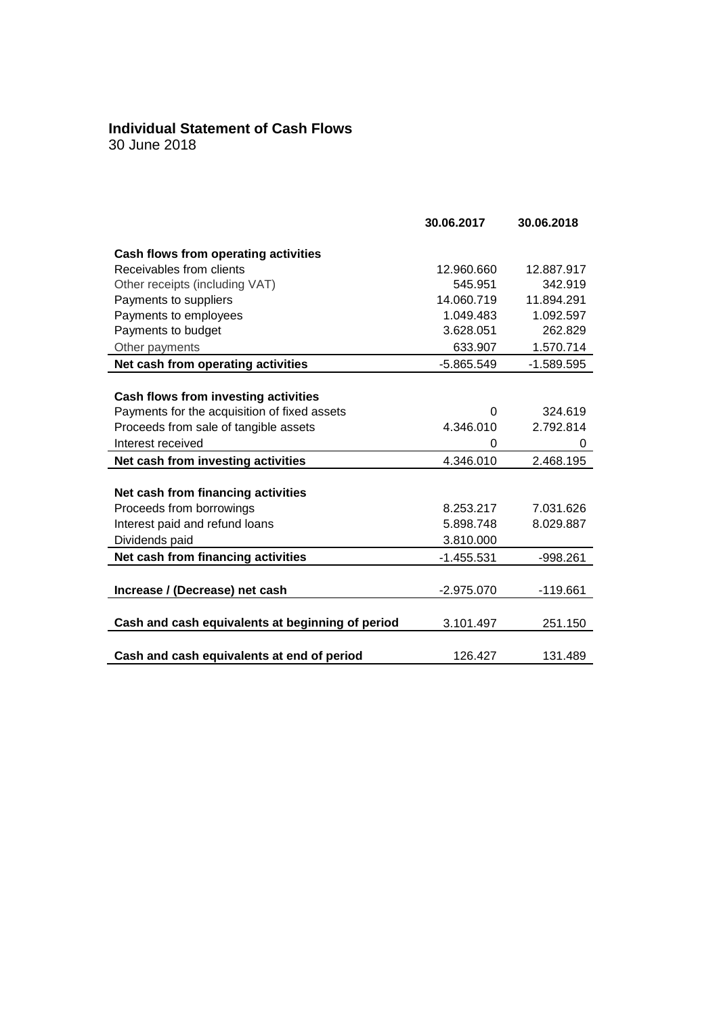# **Individual Statement of Cash Flows**

|                                                  | 30.06.2017   | 30.06.2018   |
|--------------------------------------------------|--------------|--------------|
| Cash flows from operating activities             |              |              |
| Receivables from clients                         | 12.960.660   | 12.887.917   |
| Other receipts (including VAT)                   | 545.951      | 342.919      |
| Payments to suppliers                            | 14.060.719   | 11.894.291   |
| Payments to employees                            | 1.049.483    | 1.092.597    |
| Payments to budget                               | 3.628.051    | 262.829      |
| Other payments                                   | 633.907      | 1.570.714    |
| Net cash from operating activities               | $-5.865.549$ | $-1.589.595$ |
|                                                  |              |              |
| Cash flows from investing activities             |              |              |
| Payments for the acquisition of fixed assets     | 0            | 324.619      |
| Proceeds from sale of tangible assets            | 4.346.010    | 2.792.814    |
| Interest received                                | 0            | 0            |
| Net cash from investing activities               | 4.346.010    | 2.468.195    |
|                                                  |              |              |
| Net cash from financing activities               |              |              |
| Proceeds from borrowings                         | 8.253.217    | 7.031.626    |
| Interest paid and refund loans                   | 5.898.748    | 8.029.887    |
| Dividends paid                                   | 3.810.000    |              |
| Net cash from financing activities               | $-1.455.531$ | $-998.261$   |
|                                                  |              |              |
| Increase / (Decrease) net cash                   | $-2.975.070$ | $-119.661$   |
|                                                  |              |              |
| Cash and cash equivalents at beginning of period | 3.101.497    | 251.150      |
|                                                  |              |              |
| Cash and cash equivalents at end of period       | 126.427      | 131.489      |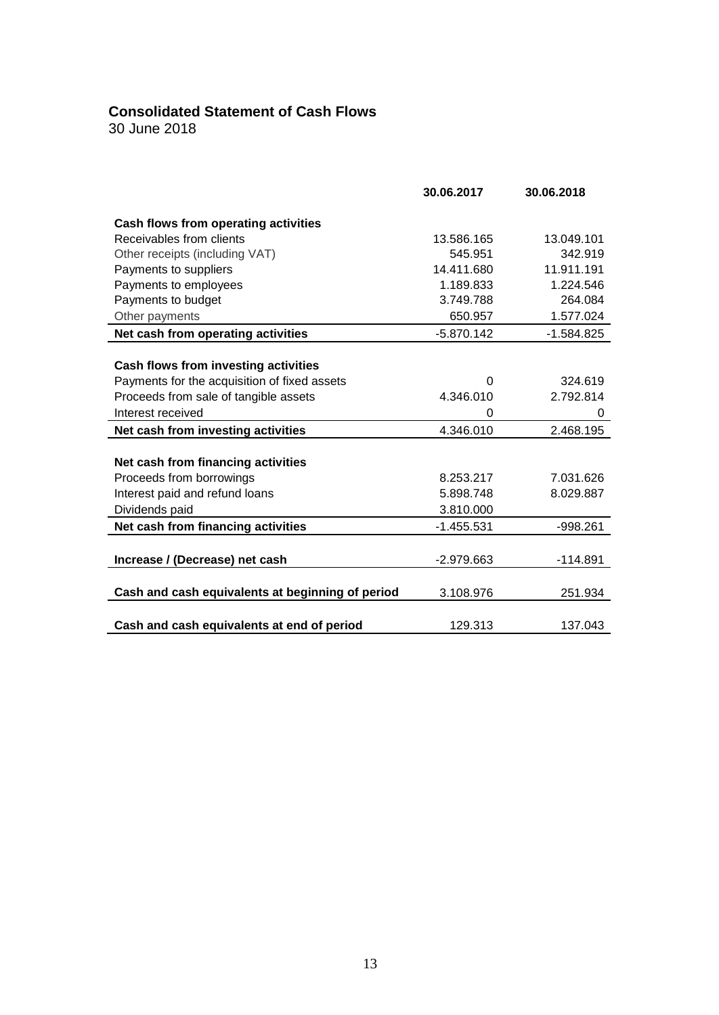### **Consolidated Statement of Cash Flows**

|                                                  | 30.06.2017   | 30.06.2018   |
|--------------------------------------------------|--------------|--------------|
| Cash flows from operating activities             |              |              |
| Receivables from clients                         | 13.586.165   | 13.049.101   |
| Other receipts (including VAT)                   | 545.951      | 342.919      |
| Payments to suppliers                            | 14.411.680   | 11.911.191   |
| Payments to employees                            | 1.189.833    | 1.224.546    |
| Payments to budget                               | 3.749.788    | 264.084      |
| Other payments                                   | 650.957      | 1.577.024    |
| Net cash from operating activities               | $-5.870.142$ | $-1.584.825$ |
|                                                  |              |              |
| Cash flows from investing activities             |              |              |
| Payments for the acquisition of fixed assets     | $\Omega$     | 324.619      |
| Proceeds from sale of tangible assets            | 4.346.010    | 2.792.814    |
| Interest received                                | 0            | 0            |
| Net cash from investing activities               | 4.346.010    | 2.468.195    |
|                                                  |              |              |
| Net cash from financing activities               |              |              |
| Proceeds from borrowings                         | 8.253.217    | 7.031.626    |
| Interest paid and refund loans                   | 5.898.748    | 8.029.887    |
| Dividends paid                                   | 3.810.000    |              |
| Net cash from financing activities               | $-1.455.531$ | $-998.261$   |
|                                                  |              |              |
| Increase / (Decrease) net cash                   | $-2.979.663$ | $-114.891$   |
|                                                  |              |              |
| Cash and cash equivalents at beginning of period | 3.108.976    | 251.934      |
|                                                  |              |              |
| Cash and cash equivalents at end of period       | 129.313      | 137.043      |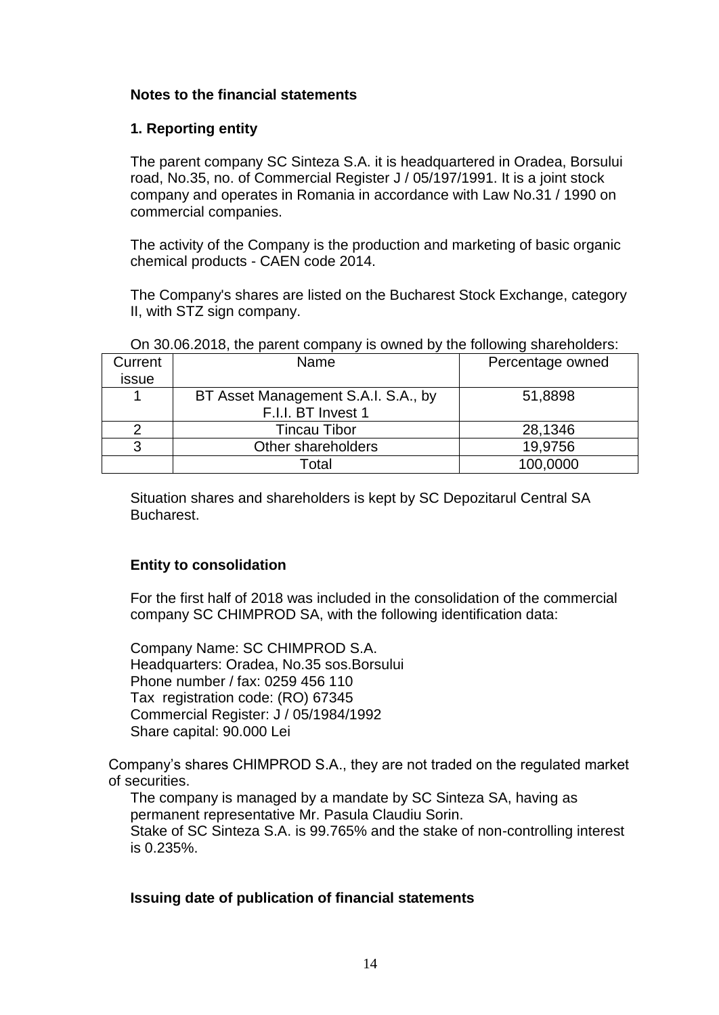### **Notes to the financial statements**

### **1. Reporting entity**

The parent company SC Sinteza S.A. it is headquartered in Oradea, Borsului road, No.35, no. of Commercial Register J / 05/197/1991. It is a joint stock company and operates in Romania in accordance with Law No.31 / 1990 on commercial companies.

The activity of the Company is the production and marketing of basic organic chemical products - CAEN code 2014.

The Company's shares are listed on the Bucharest Stock Exchange, category II, with STZ sign company.

| Current | Name                                | Percentage owned |
|---------|-------------------------------------|------------------|
| issue   |                                     |                  |
|         | BT Asset Management S.A.I. S.A., by | 51,8898          |
|         | F.I.I. BT Invest 1                  |                  |
|         | Tincau Tibor                        | 28,1346          |
| વ       | Other shareholders                  | 19,9756          |
|         | Total                               | 100,0000         |

#### On 30.06.2018, the parent company is owned by the following shareholders:

Situation shares and shareholders is kept by SC Depozitarul Central SA Bucharest.

### **Entity to consolidation**

For the first half of 2018 was included in the consolidation of the commercial company SC CHIMPROD SA, with the following identification data:

Company Name: SC CHIMPROD S.A. Headquarters: Oradea, No.35 sos.Borsului Phone number / fax: 0259 456 110 Tax registration code: (RO) 67345 Commercial Register: J / 05/1984/1992 Share capital: 90.000 Lei

Company's shares CHIMPROD S.A., they are not traded on the regulated market of securities.

The company is managed by a mandate by SC Sinteza SA, having as permanent representative Mr. Pasula Claudiu Sorin. Stake of SC Sinteza S.A. is 99.765% and the stake of non-controlling interest is 0.235%.

### **Issuing date of publication of financial statements**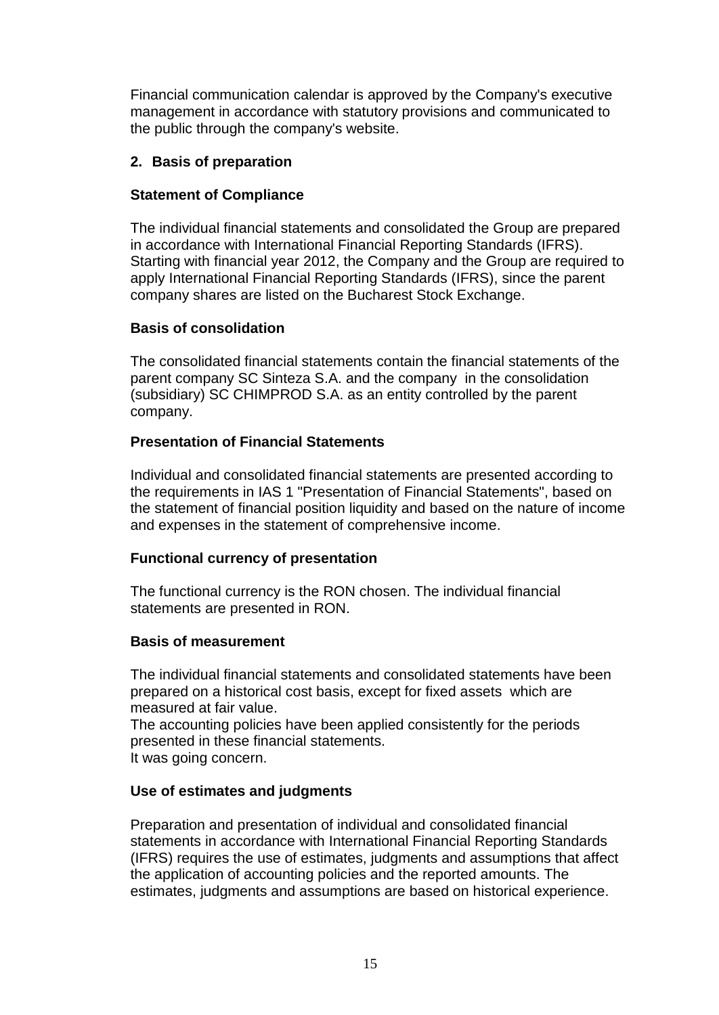Financial communication calendar is approved by the Company's executive management in accordance with statutory provisions and communicated to the public through the company's website.

### **2. Basis of preparation**

### **Statement of Compliance**

The individual financial statements and consolidated the Group are prepared in accordance with International Financial Reporting Standards (IFRS). Starting with financial year 2012, the Company and the Group are required to apply International Financial Reporting Standards (IFRS), since the parent company shares are listed on the Bucharest Stock Exchange.

### **Basis of consolidation**

The consolidated financial statements contain the financial statements of the parent company SC Sinteza S.A. and the company in the consolidation (subsidiary) SC CHIMPROD S.A. as an entity controlled by the parent company.

### **Presentation of Financial Statements**

Individual and consolidated financial statements are presented according to the requirements in IAS 1 "Presentation of Financial Statements", based on the statement of financial position liquidity and based on the nature of income and expenses in the statement of comprehensive income.

### **Functional currency of presentation**

The functional currency is the RON chosen. The individual financial statements are presented in RON.

### **Basis of measurement**

The individual financial statements and consolidated statements have been prepared on a historical cost basis, except for fixed assets which are measured at fair value.

The accounting policies have been applied consistently for the periods presented in these financial statements. It was going concern.

### **Use of estimates and judgments**

Preparation and presentation of individual and consolidated financial statements in accordance with International Financial Reporting Standards (IFRS) requires the use of estimates, judgments and assumptions that affect the application of accounting policies and the reported amounts. The estimates, judgments and assumptions are based on historical experience.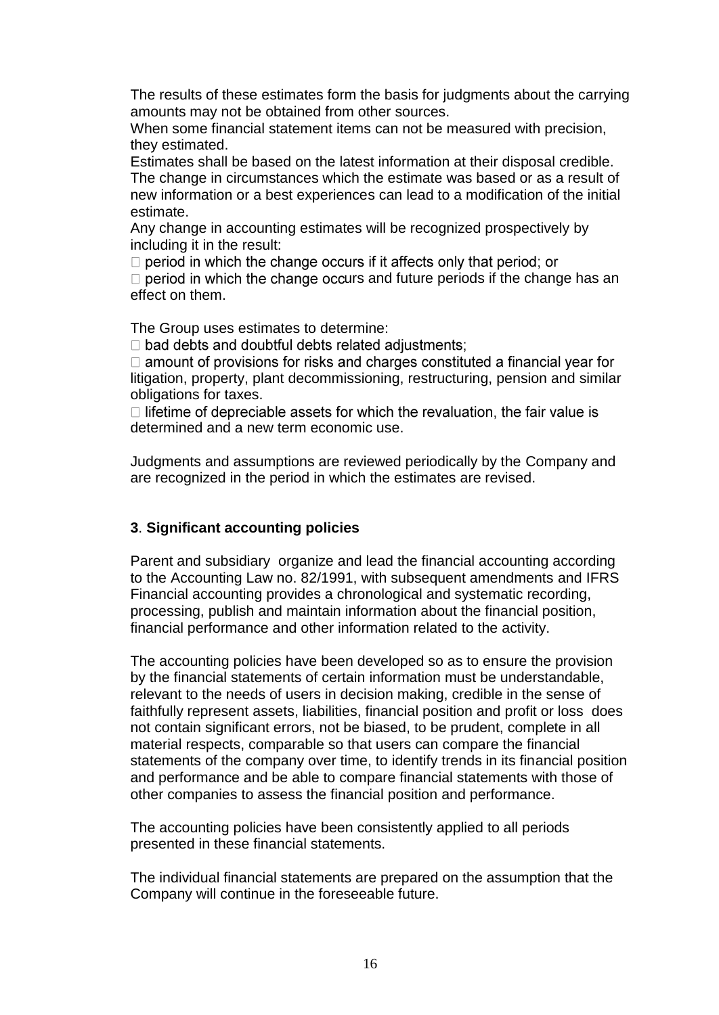The results of these estimates form the basis for judgments about the carrying amounts may not be obtained from other sources.

When some financial statement items can not be measured with precision, they estimated.

Estimates shall be based on the latest information at their disposal credible. The change in circumstances which the estimate was based or as a result of new information or a best experiences can lead to a modification of the initial estimate.

Any change in accounting estimates will be recognized prospectively by including it in the result:

 $\Box$  period in which the change occurs if it affects only that period; or

 $\Box$  period in which the change occurs and future periods if the change has an effect on them.

The Group uses estimates to determine:

 $\Box$  bad debts and doubtful debts related adjustments;

 $\Box$  amount of provisions for risks and charges constituted a financial year for litigation, property, plant decommissioning, restructuring, pension and similar obligations for taxes.

 $\Box$  lifetime of depreciable assets for which the revaluation, the fair value is determined and a new term economic use.

Judgments and assumptions are reviewed periodically by the Company and are recognized in the period in which the estimates are revised.

### **3**. **Significant accounting policies**

Parent and subsidiary organize and lead the financial accounting according to the Accounting Law no. 82/1991, with subsequent amendments and IFRS Financial accounting provides a chronological and systematic recording, processing, publish and maintain information about the financial position, financial performance and other information related to the activity.

The accounting policies have been developed so as to ensure the provision by the financial statements of certain information must be understandable, relevant to the needs of users in decision making, credible in the sense of faithfully represent assets, liabilities, financial position and profit or loss does not contain significant errors, not be biased, to be prudent, complete in all material respects, comparable so that users can compare the financial statements of the company over time, to identify trends in its financial position and performance and be able to compare financial statements with those of other companies to assess the financial position and performance.

The accounting policies have been consistently applied to all periods presented in these financial statements.

The individual financial statements are prepared on the assumption that the Company will continue in the foreseeable future.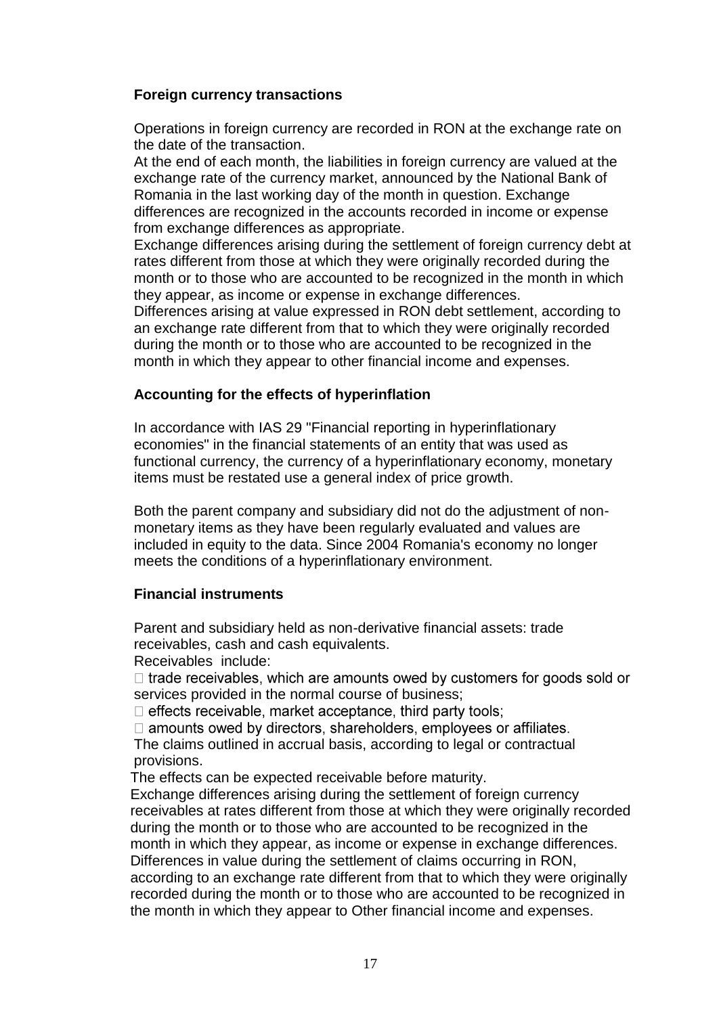### **Foreign currency transactions**

Operations in foreign currency are recorded in RON at the exchange rate on the date of the transaction.

At the end of each month, the liabilities in foreign currency are valued at the exchange rate of the currency market, announced by the National Bank of Romania in the last working day of the month in question. Exchange differences are recognized in the accounts recorded in income or expense from exchange differences as appropriate.

Exchange differences arising during the settlement of foreign currency debt at rates different from those at which they were originally recorded during the month or to those who are accounted to be recognized in the month in which they appear, as income or expense in exchange differences.

Differences arising at value expressed in RON debt settlement, according to an exchange rate different from that to which they were originally recorded during the month or to those who are accounted to be recognized in the month in which they appear to other financial income and expenses.

### **Accounting for the effects of hyperinflation**

In accordance with IAS 29 "Financial reporting in hyperinflationary economies" in the financial statements of an entity that was used as functional currency, the currency of a hyperinflationary economy, monetary items must be restated use a general index of price growth.

Both the parent company and subsidiary did not do the adjustment of nonmonetary items as they have been regularly evaluated and values are included in equity to the data. Since 2004 Romania's economy no longer meets the conditions of a hyperinflationary environment.

### **Financial instruments**

Parent and subsidiary held as non-derivative financial assets: trade receivables, cash and cash equivalents.

Receivables include:

 $\Box$  trade receivables, which are amounts owed by customers for goods sold or services provided in the normal course of business;

□ effects receivable, market acceptance, third party tools;

 $\Box$  amounts owed by directors, shareholders, employees or affiliates.

The claims outlined in accrual basis, according to legal or contractual provisions.

The effects can be expected receivable before maturity.

Exchange differences arising during the settlement of foreign currency receivables at rates different from those at which they were originally recorded during the month or to those who are accounted to be recognized in the month in which they appear, as income or expense in exchange differences. Differences in value during the settlement of claims occurring in RON, according to an exchange rate different from that to which they were originally recorded during the month or to those who are accounted to be recognized in the month in which they appear to Other financial income and expenses.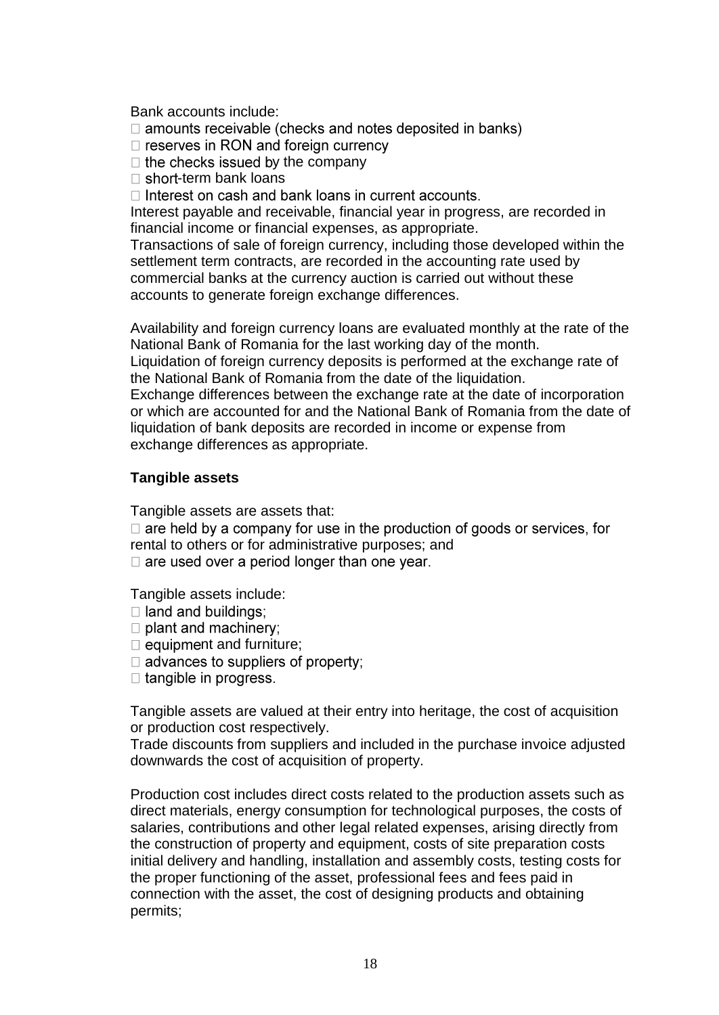Bank accounts include:

 $\Box$  amounts receivable (checks and notes deposited in banks)

 $\Box$  reserves in RON and foreign currency

 $\Box$  the checks issued by the company

 $\Box$  short-term bank loans

 $\Box$  Interest on cash and bank loans in current accounts.

Interest payable and receivable, financial year in progress, are recorded in financial income or financial expenses, as appropriate.

Transactions of sale of foreign currency, including those developed within the settlement term contracts, are recorded in the accounting rate used by commercial banks at the currency auction is carried out without these accounts to generate foreign exchange differences.

Availability and foreign currency loans are evaluated monthly at the rate of the National Bank of Romania for the last working day of the month. Liquidation of foreign currency deposits is performed at the exchange rate of

the National Bank of Romania from the date of the liquidation. Exchange differences between the exchange rate at the date of incorporation

or which are accounted for and the National Bank of Romania from the date of liquidation of bank deposits are recorded in income or expense from exchange differences as appropriate.

### **Tangible assets**

Tangible assets are assets that:

 $\Box$  are held by a company for use in the production of goods or services, for rental to others or for administrative purposes; and

 $\Box$  are used over a period longer than one year.

Tangible assets include:

- $\Box$  land and buildings;
- $\Box$  plant and machinery;
- $\Box$  equipment and furniture;
- $\Box$  advances to suppliers of property;
- $\Box$  tangible in progress.

Tangible assets are valued at their entry into heritage, the cost of acquisition or production cost respectively.

Trade discounts from suppliers and included in the purchase invoice adjusted downwards the cost of acquisition of property.

Production cost includes direct costs related to the production assets such as direct materials, energy consumption for technological purposes, the costs of salaries, contributions and other legal related expenses, arising directly from the construction of property and equipment, costs of site preparation costs initial delivery and handling, installation and assembly costs, testing costs for the proper functioning of the asset, professional fees and fees paid in connection with the asset, the cost of designing products and obtaining permits;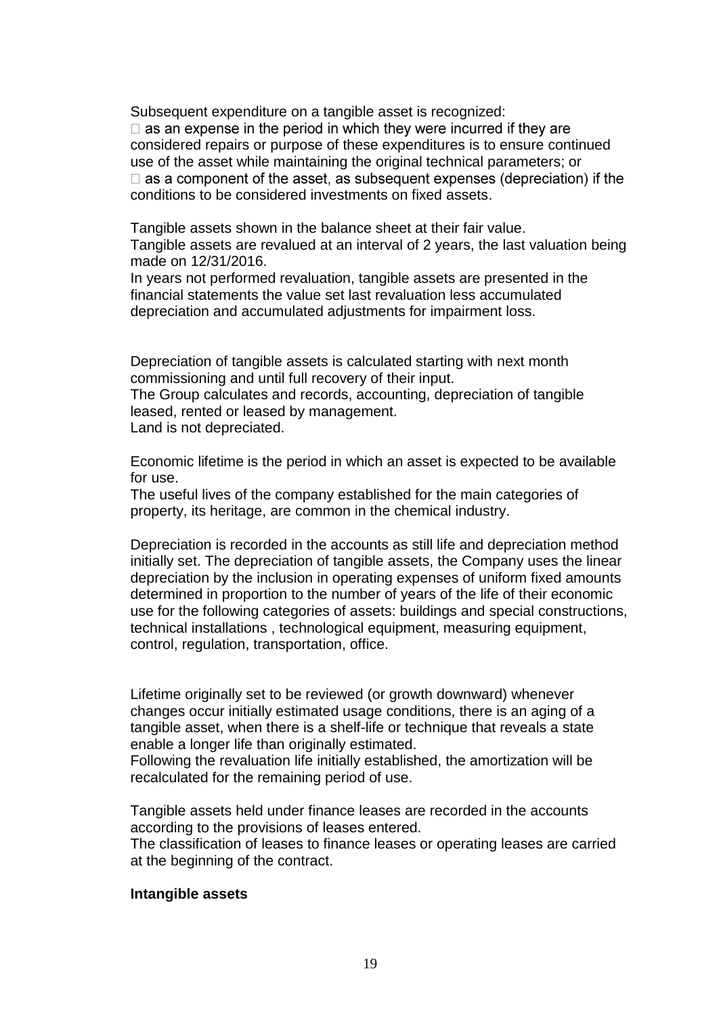Subsequent expenditure on a tangible asset is recognized:  $\Box$  as an expense in the period in which they were incurred if they are considered repairs or purpose of these expenditures is to ensure continued use of the asset while maintaining the original technical parameters; or  $\Box$  as a component of the asset, as subsequent expenses (depreciation) if the conditions to be considered investments on fixed assets.

Tangible assets shown in the balance sheet at their fair value. Tangible assets are revalued at an interval of 2 years, the last valuation being made on 12/31/2016.

In years not performed revaluation, tangible assets are presented in the financial statements the value set last revaluation less accumulated depreciation and accumulated adjustments for impairment loss.

Depreciation of tangible assets is calculated starting with next month commissioning and until full recovery of their input.

The Group calculates and records, accounting, depreciation of tangible leased, rented or leased by management.

Land is not depreciated.

Economic lifetime is the period in which an asset is expected to be available for use.

The useful lives of the company established for the main categories of property, its heritage, are common in the chemical industry.

Depreciation is recorded in the accounts as still life and depreciation method initially set. The depreciation of tangible assets, the Company uses the linear depreciation by the inclusion in operating expenses of uniform fixed amounts determined in proportion to the number of years of the life of their economic use for the following categories of assets: buildings and special constructions, technical installations , technological equipment, measuring equipment, control, regulation, transportation, office.

Lifetime originally set to be reviewed (or growth downward) whenever changes occur initially estimated usage conditions, there is an aging of a tangible asset, when there is a shelf-life or technique that reveals a state enable a longer life than originally estimated.

Following the revaluation life initially established, the amortization will be recalculated for the remaining period of use.

Tangible assets held under finance leases are recorded in the accounts according to the provisions of leases entered.

The classification of leases to finance leases or operating leases are carried at the beginning of the contract.

#### **Intangible assets**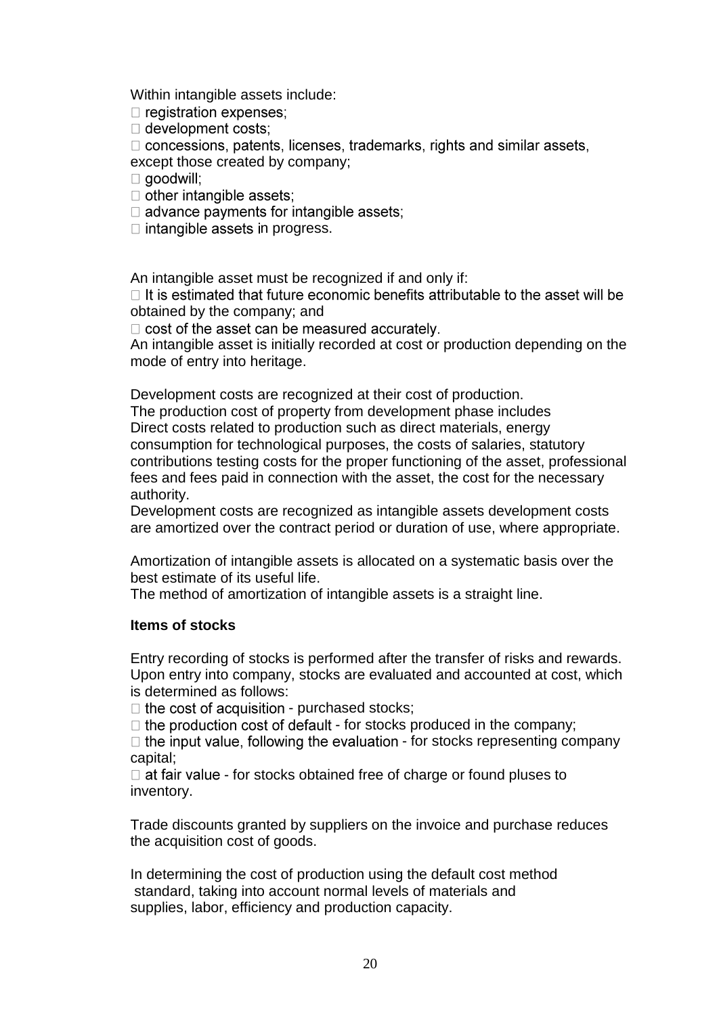Within intangible assets include:

 $\Box$  registration expenses;

 $\Box$  development costs;

□ concessions, patents, licenses, trademarks, rights and similar assets, except those created by company;

 $\Box$  goodwill;

 $\Box$  other intangible assets:

 $\Box$  advance payments for intangible assets;

 $\Box$  intangible assets in progress.

An intangible asset must be recognized if and only if:

 $\Box$  It is estimated that future economic benefits attributable to the asset will be obtained by the company; and

 $\Box$  cost of the asset can be measured accurately.

An intangible asset is initially recorded at cost or production depending on the mode of entry into heritage.

Development costs are recognized at their cost of production.

The production cost of property from development phase includes Direct costs related to production such as direct materials, energy consumption for technological purposes, the costs of salaries, statutory contributions testing costs for the proper functioning of the asset, professional fees and fees paid in connection with the asset, the cost for the necessary authority.

Development costs are recognized as intangible assets development costs are amortized over the contract period or duration of use, where appropriate.

Amortization of intangible assets is allocated on a systematic basis over the best estimate of its useful life.

The method of amortization of intangible assets is a straight line.

#### **Items of stocks**

Entry recording of stocks is performed after the transfer of risks and rewards. Upon entry into company, stocks are evaluated and accounted at cost, which is determined as follows:

 $\Box$  the cost of acquisition - purchased stocks;

 $\Box$  the production cost of default - for stocks produced in the company;

 $\Box$  the input value, following the evaluation - for stocks representing company capital;

 $\Box$  at fair value - for stocks obtained free of charge or found pluses to inventory.

Trade discounts granted by suppliers on the invoice and purchase reduces the acquisition cost of goods.

In determining the cost of production using the default cost method standard, taking into account normal levels of materials and supplies, labor, efficiency and production capacity.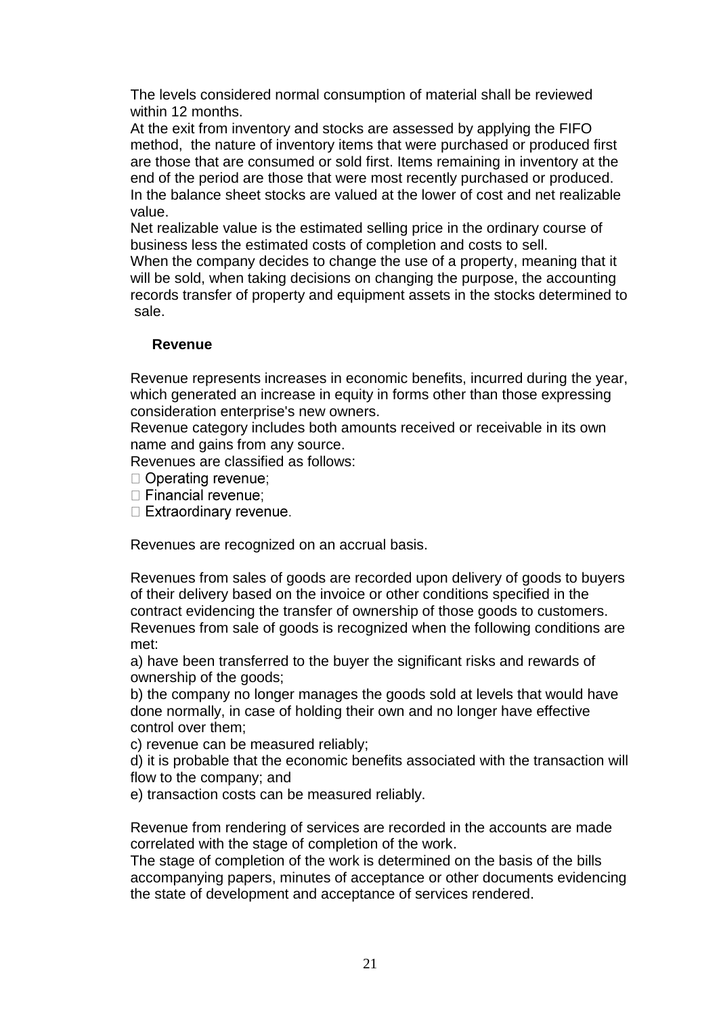The levels considered normal consumption of material shall be reviewed within 12 months.

At the exit from inventory and stocks are assessed by applying the FIFO method, the nature of inventory items that were purchased or produced first are those that are consumed or sold first. Items remaining in inventory at the end of the period are those that were most recently purchased or produced. In the balance sheet stocks are valued at the lower of cost and net realizable value.

Net realizable value is the estimated selling price in the ordinary course of business less the estimated costs of completion and costs to sell.

When the company decides to change the use of a property, meaning that it will be sold, when taking decisions on changing the purpose, the accounting records transfer of property and equipment assets in the stocks determined to sale.

### **Revenue**

Revenue represents increases in economic benefits, incurred during the year, which generated an increase in equity in forms other than those expressing consideration enterprise's new owners.

Revenue category includes both amounts received or receivable in its own name and gains from any source.

Revenues are classified as follows:

 $\Box$  Operating revenue:

 $\Box$  Financial revenue;

 $\Box$  Extraordinary revenue.

Revenues are recognized on an accrual basis.

Revenues from sales of goods are recorded upon delivery of goods to buyers of their delivery based on the invoice or other conditions specified in the contract evidencing the transfer of ownership of those goods to customers. Revenues from sale of goods is recognized when the following conditions are met:

a) have been transferred to the buyer the significant risks and rewards of ownership of the goods;

b) the company no longer manages the goods sold at levels that would have done normally, in case of holding their own and no longer have effective control over them;

c) revenue can be measured reliably;

d) it is probable that the economic benefits associated with the transaction will flow to the company; and

e) transaction costs can be measured reliably.

Revenue from rendering of services are recorded in the accounts are made correlated with the stage of completion of the work.

The stage of completion of the work is determined on the basis of the bills accompanying papers, minutes of acceptance or other documents evidencing the state of development and acceptance of services rendered.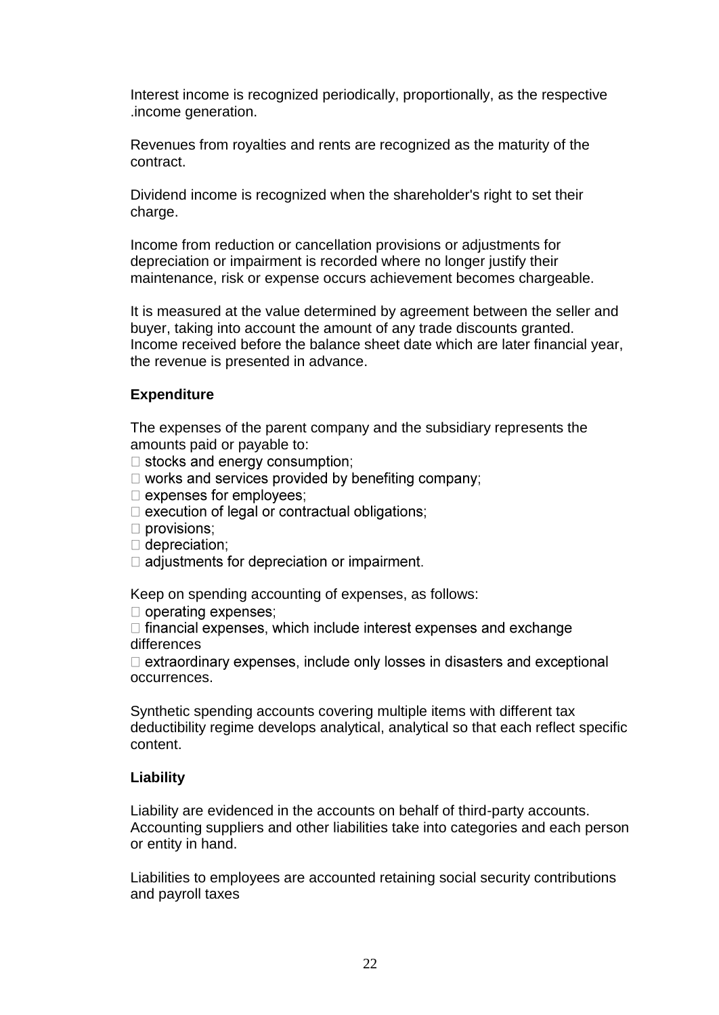Interest income is recognized periodically, proportionally, as the respective .income generation.

Revenues from royalties and rents are recognized as the maturity of the contract.

Dividend income is recognized when the shareholder's right to set their charge.

Income from reduction or cancellation provisions or adjustments for depreciation or impairment is recorded where no longer justify their maintenance, risk or expense occurs achievement becomes chargeable.

It is measured at the value determined by agreement between the seller and buyer, taking into account the amount of any trade discounts granted. Income received before the balance sheet date which are later financial year, the revenue is presented in advance.

## **Expenditure**

The expenses of the parent company and the subsidiary represents the amounts paid or payable to:

 $\Box$  stocks and energy consumption;

 $\Box$  works and services provided by benefiting company;

 $\Box$  expenses for employees;

□ execution of legal or contractual obligations;

 $\Box$  provisions;

 $\Box$  depreciation;

 $\Box$  adiustments for depreciation or impairment.

Keep on spending accounting of expenses, as follows:

 $\Box$  operating expenses;

 $\Box$  financial expenses, which include interest expenses and exchange differences

 $\Box$  extraordinary expenses, include only losses in disasters and exceptional occurrences.

Synthetic spending accounts covering multiple items with different tax deductibility regime develops analytical, analytical so that each reflect specific content.

### **Liability**

Liability are evidenced in the accounts on behalf of third-party accounts. Accounting suppliers and other liabilities take into categories and each person or entity in hand.

Liabilities to employees are accounted retaining social security contributions and payroll taxes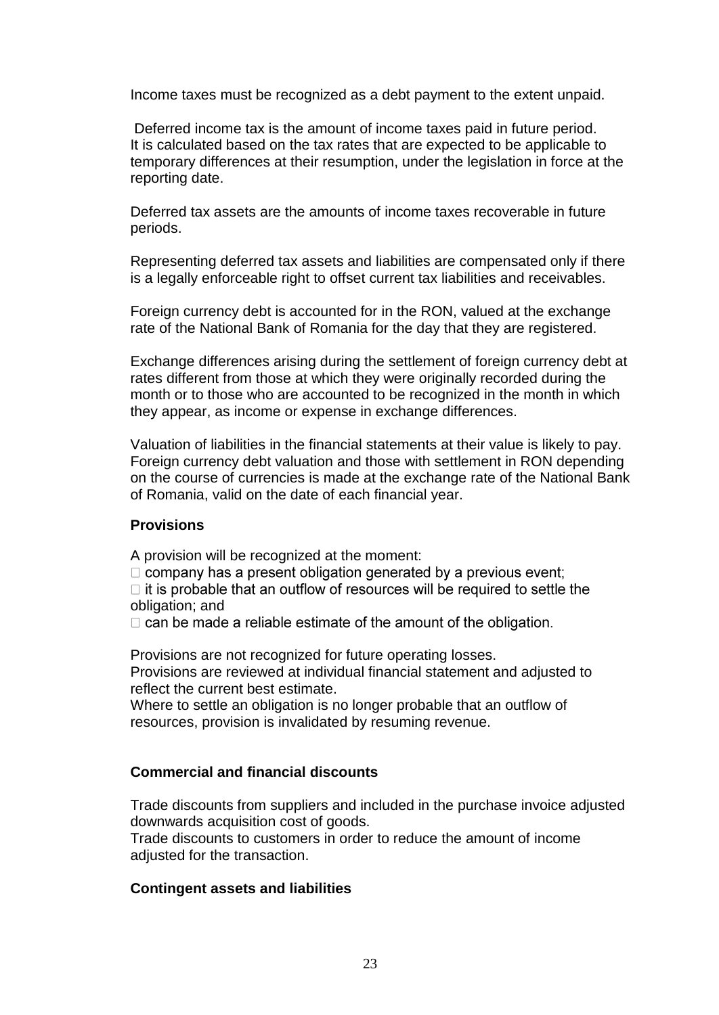Income taxes must be recognized as a debt payment to the extent unpaid.

Deferred income tax is the amount of income taxes paid in future period. It is calculated based on the tax rates that are expected to be applicable to temporary differences at their resumption, under the legislation in force at the reporting date.

Deferred tax assets are the amounts of income taxes recoverable in future periods.

Representing deferred tax assets and liabilities are compensated only if there is a legally enforceable right to offset current tax liabilities and receivables.

Foreign currency debt is accounted for in the RON, valued at the exchange rate of the National Bank of Romania for the day that they are registered.

Exchange differences arising during the settlement of foreign currency debt at rates different from those at which they were originally recorded during the month or to those who are accounted to be recognized in the month in which they appear, as income or expense in exchange differences.

Valuation of liabilities in the financial statements at their value is likely to pay. Foreign currency debt valuation and those with settlement in RON depending on the course of currencies is made at the exchange rate of the National Bank of Romania, valid on the date of each financial year.

### **Provisions**

A provision will be recognized at the moment:

 $\Box$  company has a present obligation generated by a previous event;

 $\Box$  it is probable that an outflow of resources will be required to settle the obligation; and

 $\Box$  can be made a reliable estimate of the amount of the obligation.

Provisions are not recognized for future operating losses. Provisions are reviewed at individual financial statement and adjusted to reflect the current best estimate.

Where to settle an obligation is no longer probable that an outflow of resources, provision is invalidated by resuming revenue.

## **Commercial and financial discounts**

Trade discounts from suppliers and included in the purchase invoice adjusted downwards acquisition cost of goods.

Trade discounts to customers in order to reduce the amount of income adjusted for the transaction.

### **Contingent assets and liabilities**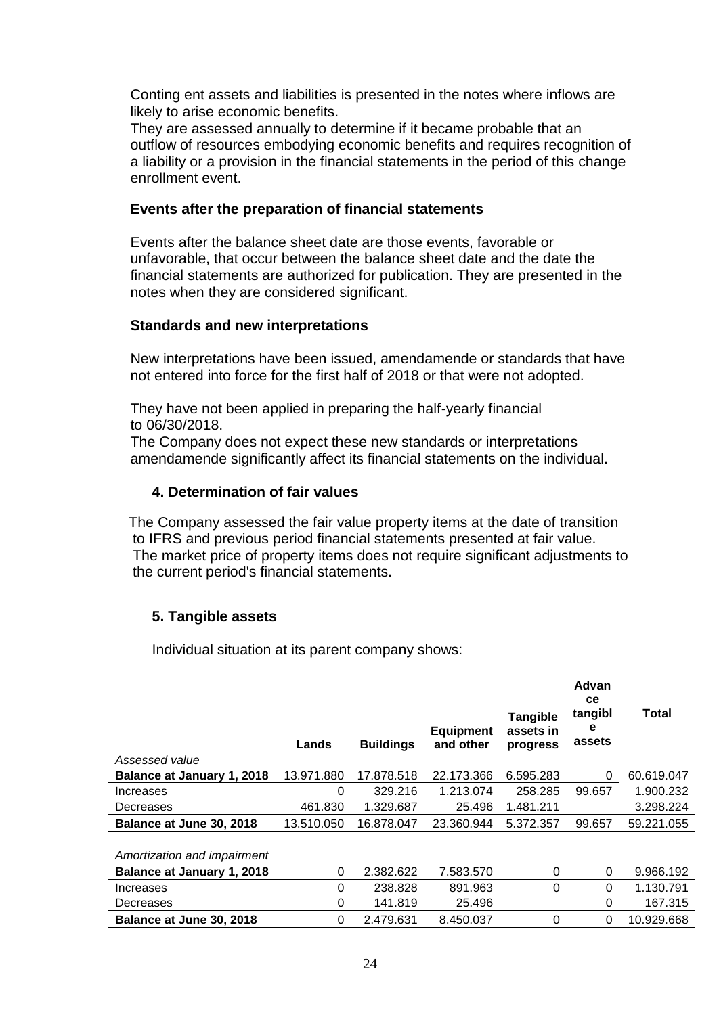Conting ent assets and liabilities is presented in the notes where inflows are likely to arise economic benefits.

They are assessed annually to determine if it became probable that an outflow of resources embodying economic benefits and requires recognition of a liability or a provision in the financial statements in the period of this change enrollment event.

#### **Events after the preparation of financial statements**

Events after the balance sheet date are those events, favorable or unfavorable, that occur between the balance sheet date and the date the financial statements are authorized for publication. They are presented in the notes when they are considered significant.

#### **Standards and new interpretations**

New interpretations have been issued, amendamende or standards that have not entered into force for the first half of 2018 or that were not adopted.

They have not been applied in preparing the half-yearly financial to 06/30/2018.

The Company does not expect these new standards or interpretations amendamende significantly affect its financial statements on the individual.

#### **4. Determination of fair values**

 The Company assessed the fair value property items at the date of transition to IFRS and previous period financial statements presented at fair value. The market price of property items does not require significant adjustments to the current period's financial statements.

### **5. Tangible assets**

Individual situation at its parent company shows:

|                                   | Lands      | <b>Buildings</b> | <b>Equipment</b><br>and other | <b>Tangible</b><br>assets in<br>progress | Advan<br><b>ce</b><br>tangibl<br>е<br>assets | Total      |
|-----------------------------------|------------|------------------|-------------------------------|------------------------------------------|----------------------------------------------|------------|
| Assessed value                    |            |                  |                               |                                          |                                              |            |
| Balance at January 1, 2018        | 13.971.880 | 17.878.518       | 22.173.366                    | 6.595.283                                | 0                                            | 60.619.047 |
| Increases                         | 0          | 329.216          | 1.213.074                     | 258.285                                  | 99.657                                       | 1.900.232  |
| Decreases                         | 461.830    | 1.329.687        | 25.496                        | 1.481.211                                |                                              | 3.298.224  |
| Balance at June 30, 2018          | 13.510.050 | 16.878.047       | 23.360.944                    | 5.372.357                                | 99.657                                       | 59.221.055 |
| Amortization and impairment       |            |                  |                               |                                          |                                              |            |
| <b>Balance at January 1, 2018</b> | 0          | 2.382.622        | 7.583.570                     | 0                                        | 0                                            | 9.966.192  |
| Increases                         | 0          | 238.828          | 891.963                       | 0                                        | 0                                            | 1.130.791  |
| Decreases                         | 0          | 141.819          | 25.496                        |                                          | 0                                            | 167.315    |
| Balance at June 30, 2018          | 0          | 2.479.631        | 8.450.037                     | 0                                        | 0                                            | 10.929.668 |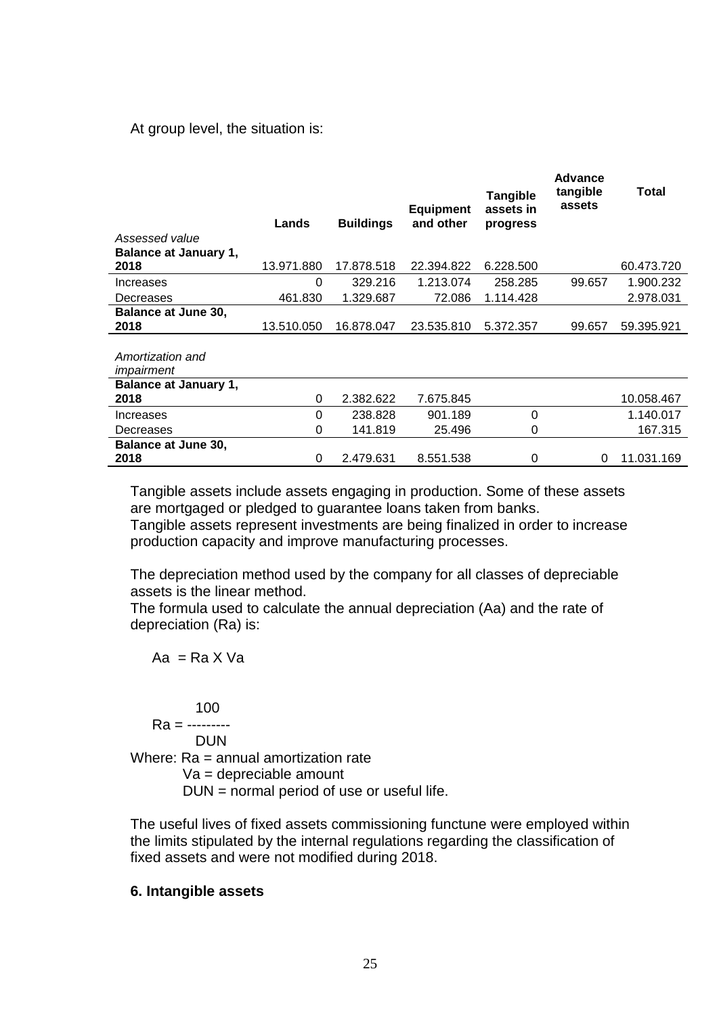At group level, the situation is:

| Assessed value                       | Lands      | <b>Buildings</b> | <b>Equipment</b><br>and other | <b>Tangible</b><br>assets in<br>progress | <b>Advance</b><br>tangible<br>assets | Total      |
|--------------------------------------|------------|------------------|-------------------------------|------------------------------------------|--------------------------------------|------------|
| <b>Balance at January 1,</b><br>2018 | 13.971.880 | 17.878.518       | 22.394.822                    | 6.228.500                                |                                      | 60.473.720 |
| Increases                            | 0          | 329.216          | 1.213.074                     | 258.285                                  | 99.657                               | 1.900.232  |
| Decreases                            | 461.830    | 1.329.687        | 72.086                        | 1.114.428                                |                                      | 2.978.031  |
| <b>Balance at June 30,</b><br>2018   | 13.510.050 | 16.878.047       | 23.535.810                    | 5.372.357                                | 99.657                               | 59.395.921 |
| Amortization and<br>impairment       |            |                  |                               |                                          |                                      |            |
| <b>Balance at January 1,</b><br>2018 | 0          | 2.382.622        | 7.675.845                     |                                          |                                      | 10.058.467 |
| Increases                            | $\Omega$   | 238.828          | 901.189                       | $\Omega$                                 |                                      | 1.140.017  |
| Decreases                            | 0          | 141.819          | 25.496                        | 0                                        |                                      | 167.315    |
| <b>Balance at June 30,</b><br>2018   | 0          | 2.479.631        | 8.551.538                     | 0                                        | 0                                    | 11.031.169 |

Tangible assets include assets engaging in production. Some of these assets are mortgaged or pledged to guarantee loans taken from banks.

Tangible assets represent investments are being finalized in order to increase production capacity and improve manufacturing processes.

The depreciation method used by the company for all classes of depreciable assets is the linear method.

The formula used to calculate the annual depreciation (Aa) and the rate of depreciation (Ra) is:

 $Aa = Ra X Va$ 

### 100

Ra = ---------

DUN

Where: Ra = annual amortization rate

Va = depreciable amount

DUN = normal period of use or useful life.

The useful lives of fixed assets commissioning functune were employed within the limits stipulated by the internal regulations regarding the classification of fixed assets and were not modified during 2018.

#### **6. Intangible assets**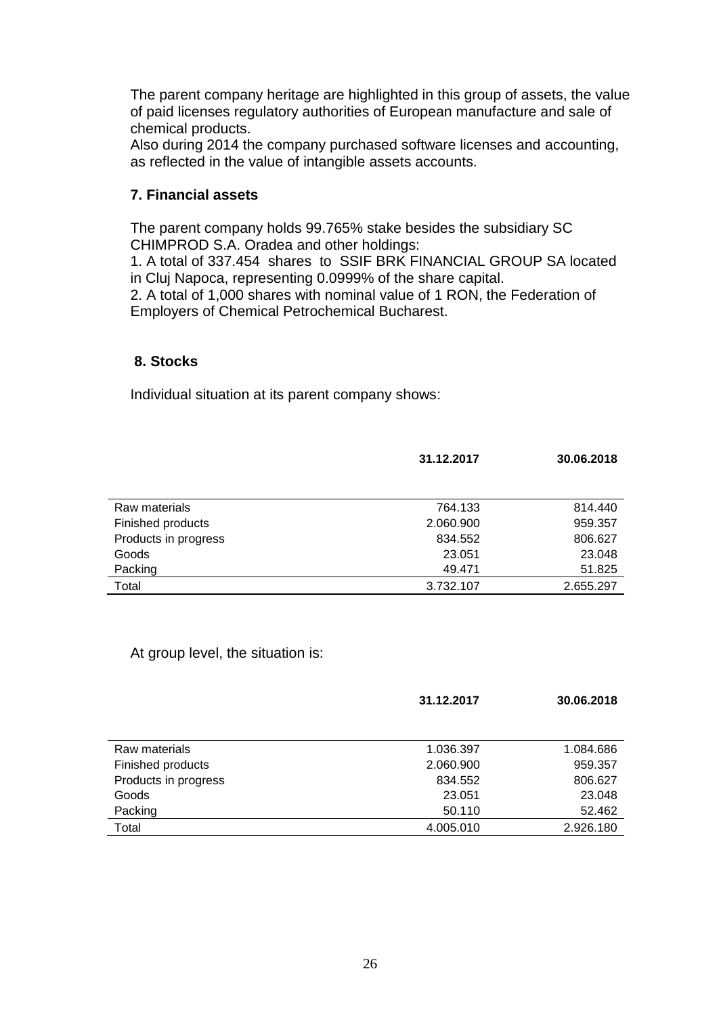The parent company heritage are highlighted in this group of assets, the value of paid licenses regulatory authorities of European manufacture and sale of chemical products.

Also during 2014 the company purchased software licenses and accounting, as reflected in the value of intangible assets accounts.

### **7. Financial assets**

The parent company holds 99.765% stake besides the subsidiary SC CHIMPROD S.A. Oradea and other holdings:

1. A total of 337.454 shares to SSIF BRK FINANCIAL GROUP SA located in Cluj Napoca, representing 0.0999% of the share capital.

2. A total of 1,000 shares with nominal value of 1 RON, the Federation of Employers of Chemical Petrochemical Bucharest.

### **8. Stocks**

Individual situation at its parent company shows:

|                      | 31.12.2017 | 30.06.2018 |
|----------------------|------------|------------|
|                      |            |            |
| Raw materials        | 764.133    | 814.440    |
| Finished products    | 2.060.900  | 959.357    |
| Products in progress | 834.552    | 806.627    |
| Goods                | 23.051     | 23.048     |
| Packing              | 49.471     | 51.825     |
| Total                | 3.732.107  | 2.655.297  |

At group level, the situation is:

|                      | 31.12.2017 | 30.06.2018 |
|----------------------|------------|------------|
|                      |            |            |
| Raw materials        | 1.036.397  | 1.084.686  |
| Finished products    | 2.060.900  | 959.357    |
| Products in progress | 834.552    | 806.627    |
| Goods                | 23.051     | 23.048     |
| Packing              | 50.110     | 52.462     |
| Total                | 4.005.010  | 2.926.180  |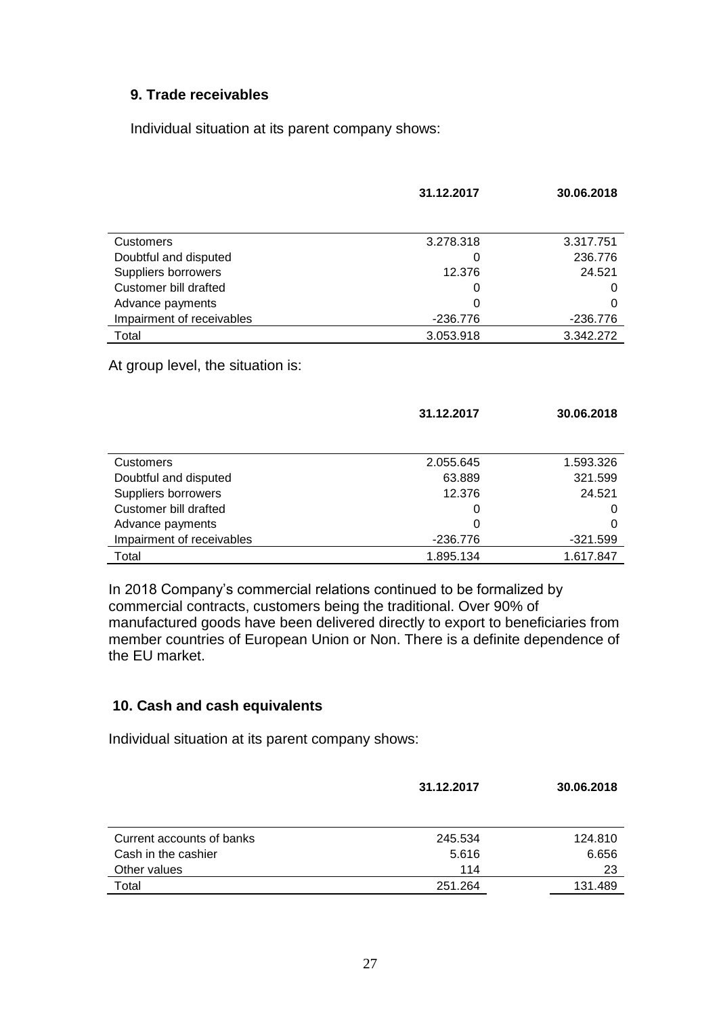### **9. Trade receivables**

Individual situation at its parent company shows:

|                                   | 31.12.2017 | 30.06.2018 |
|-----------------------------------|------------|------------|
|                                   |            |            |
| <b>Customers</b>                  | 3.278.318  | 3.317.751  |
| Doubtful and disputed             | O          | 236.776    |
| Suppliers borrowers               | 12.376     | 24.521     |
| Customer bill drafted             | O          | 0          |
| Advance payments                  | 0          | O          |
| Impairment of receivables         | -236.776   | $-236.776$ |
| Total                             | 3.053.918  | 3.342.272  |
| At group level, the situation is: |            |            |
|                                   | 31.12.2017 | 30.06.2018 |
| <b>Customers</b>                  | 2.055.645  | 1.593.326  |
| Doubtful and disputed             | 63.889     | 321.599    |
| Suppliers borrowers               | 12.376     | 24.521     |
| Customer bill drafted             | O          | O          |
| Advance payments                  | 0          | 0          |

In 2018 Company's commercial relations continued to be formalized by commercial contracts, customers being the traditional. Over 90% of manufactured goods have been delivered directly to export to beneficiaries from member countries of European Union or Non. There is a definite dependence of the EU market.

Impairment of receivables  $-236.776$  -236.776 Total 1.895.134 1.617.847

### **10. Cash and cash equivalents**

Individual situation at its parent company shows:

|                           | 31.12.2017 | 30.06.2018 |
|---------------------------|------------|------------|
|                           |            |            |
| Current accounts of banks | 245.534    | 124.810    |
| Cash in the cashier       | 5.616      | 6.656      |
| Other values              | 114        | 23         |
| Total                     | 251.264    | 131.489    |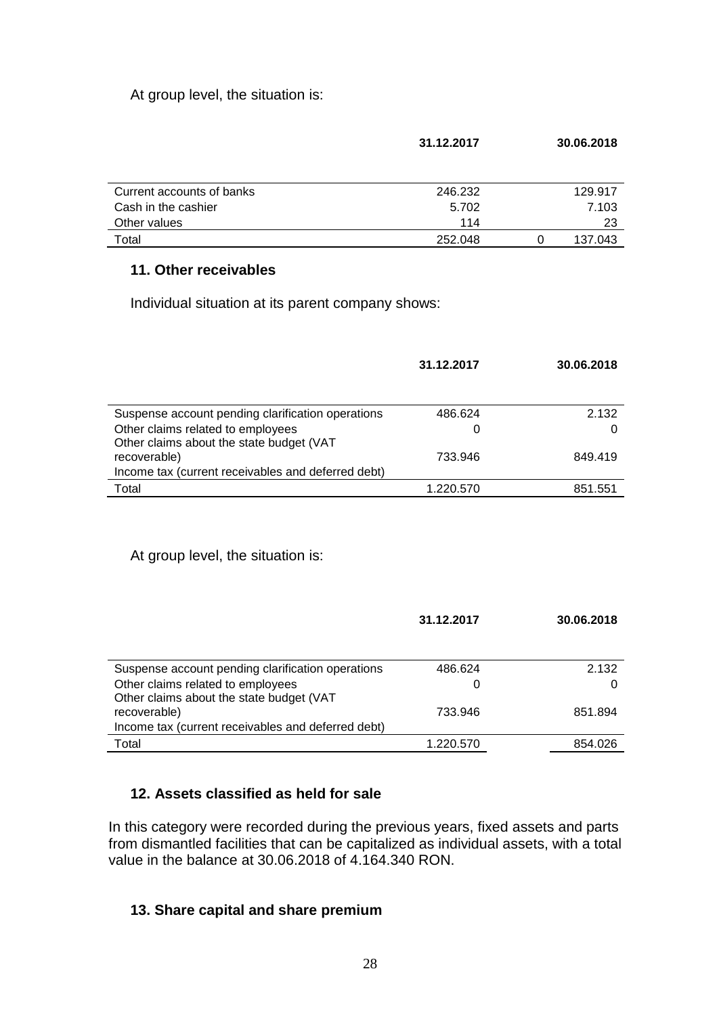At group level, the situation is:

|                           | 31.12.2017 |          | 30.06.2018 |
|---------------------------|------------|----------|------------|
| Current accounts of banks | 246.232    |          | 129.917    |
| Cash in the cashier       | 5.702      |          | 7.103      |
| Other values              | 114        |          | 23         |
| Total                     | 252.048    | $\Omega$ | 137.043    |

### **11. Other receivables**

Individual situation at its parent company shows:

|                                                    | 31.12.2017 | 30.06.2018 |
|----------------------------------------------------|------------|------------|
|                                                    |            |            |
| Suspense account pending clarification operations  | 486.624    | 2.132      |
| Other claims related to employees                  |            |            |
| Other claims about the state budget (VAT           |            |            |
| recoverable)                                       | 733.946    | 849.419    |
| Income tax (current receivables and deferred debt) |            |            |
| Total                                              | 1.220.570  | 851.551    |

At group level, the situation is:

|                                                    | 31.12.2017 | 30.06.2018 |
|----------------------------------------------------|------------|------------|
|                                                    |            |            |
| Suspense account pending clarification operations  | 486.624    | 2.132      |
| Other claims related to employees                  | 0          |            |
| Other claims about the state budget (VAT           |            |            |
| recoverable)                                       | 733.946    | 851.894    |
| Income tax (current receivables and deferred debt) |            |            |
| Total                                              | 1.220.570  | 854.026    |
|                                                    |            |            |

## **12. Assets classified as held for sale**

In this category were recorded during the previous years, fixed assets and parts from dismantled facilities that can be capitalized as individual assets, with a total value in the balance at 30.06.2018 of 4.164.340 RON.

## **13. Share capital and share premium**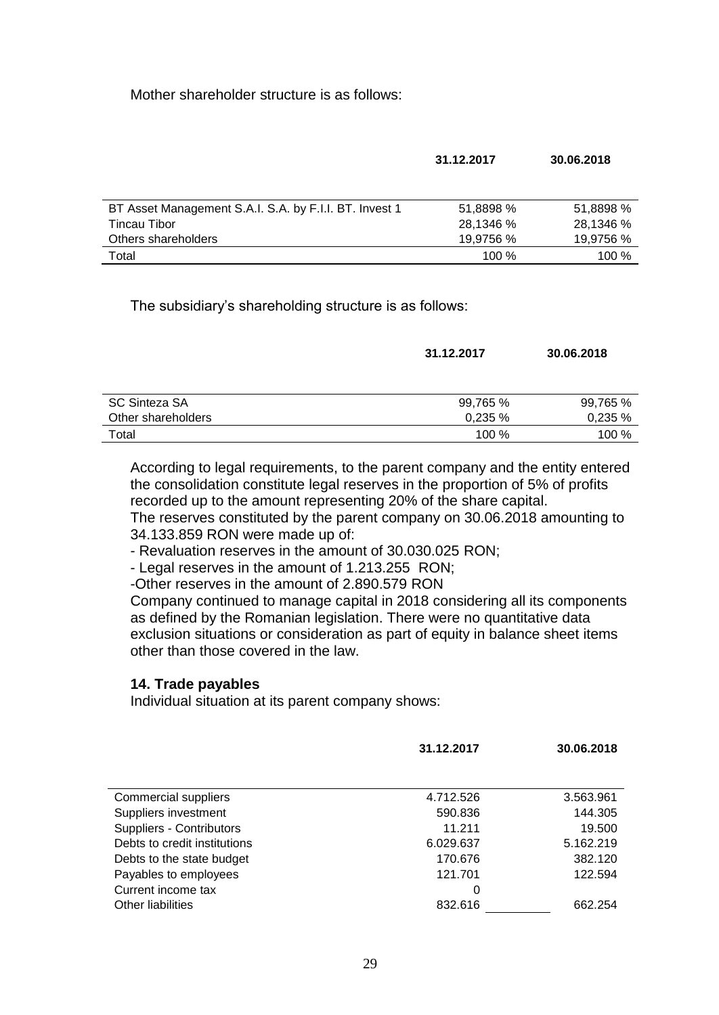Mother shareholder structure is as follows:

|                                                        | 31.12.2017 | 30.06.2018 |
|--------------------------------------------------------|------------|------------|
|                                                        |            |            |
| BT Asset Management S.A.I. S.A. by F.I.I. BT. Invest 1 | 51,8898 %  | 51,8898 %  |
| <b>Tincau Tibor</b>                                    | 28,1346 %  | 28,1346 %  |
| Others shareholders                                    | 19,9756 %  | 19,9756 %  |
| Total                                                  | $100\%$    | 100 %      |
|                                                        |            |            |

The subsidiary's shareholding structure is as follows:

|                    | 31.12.2017 | 30.06.2018 |
|--------------------|------------|------------|
| SC Sinteza SA      | 99,765 %   | 99,765 %   |
| Other shareholders | 0,235%     | 0,235%     |
| Total              | 100 %      | 100 %      |

According to legal requirements, to the parent company and the entity entered the consolidation constitute legal reserves in the proportion of 5% of profits recorded up to the amount representing 20% of the share capital. The reserves constituted by the parent company on 30.06.2018 amounting to

34.133.859 RON were made up of:

- Revaluation reserves in the amount of 30.030.025 RON;

- Legal reserves in the amount of 1.213.255 RON;

-Other reserves in the amount of 2.890.579 RON

Company continued to manage capital in 2018 considering all its components as defined by the Romanian legislation. There were no quantitative data exclusion situations or consideration as part of equity in balance sheet items other than those covered in the law.

### **14. Trade payables**

Individual situation at its parent company shows:

|                              | 31.12.2017 | 30.06.2018 |
|------------------------------|------------|------------|
|                              |            |            |
| Commercial suppliers         | 4.712.526  | 3.563.961  |
| Suppliers investment         | 590.836    | 144.305    |
| Suppliers - Contributors     | 11.211     | 19.500     |
| Debts to credit institutions | 6.029.637  | 5.162.219  |
| Debts to the state budget    | 170.676    | 382.120    |
| Payables to employees        | 121.701    | 122.594    |
| Current income tax           | 0          |            |
| Other liabilities            | 832.616    | 662.254    |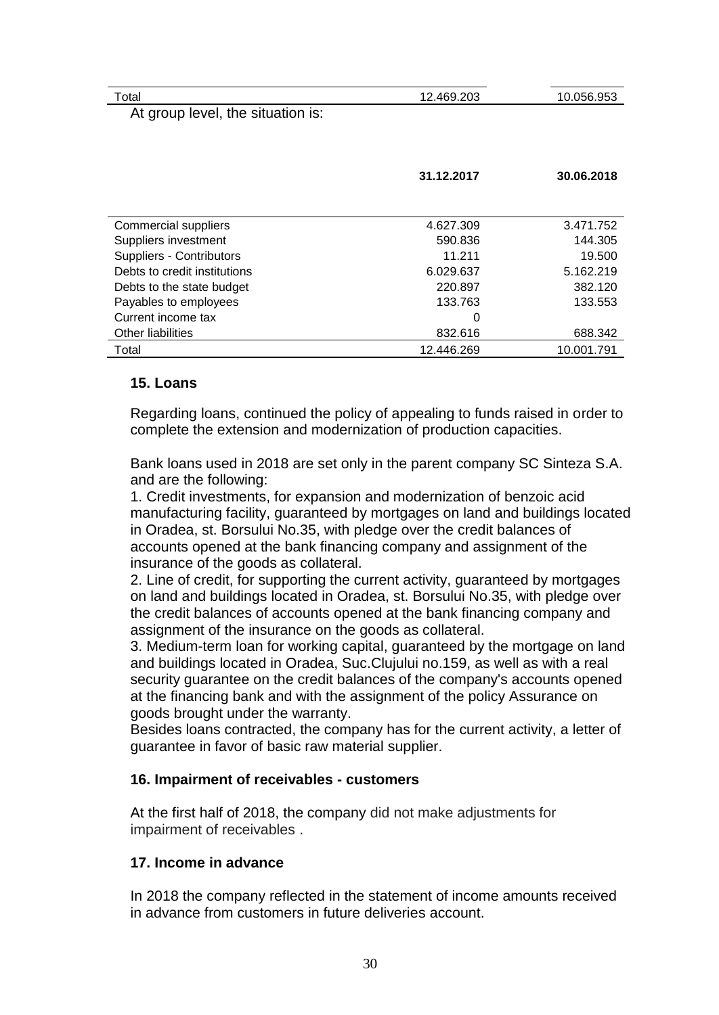| Total                             | 12.469.203 | 10.056.953 |
|-----------------------------------|------------|------------|
| At group level, the situation is: |            |            |
|                                   |            |            |
|                                   |            |            |
|                                   |            |            |
|                                   | 31.12.2017 | 30.06.2018 |

| Commercial suppliers         | 4.627.309  | 3.471.752  |
|------------------------------|------------|------------|
| Suppliers investment         | 590.836    | 144.305    |
| Suppliers - Contributors     | 11.211     | 19.500     |
| Debts to credit institutions | 6.029.637  | 5.162.219  |
| Debts to the state budget    | 220.897    | 382.120    |
| Payables to employees        | 133.763    | 133.553    |
| Current income tax           | 0          |            |
| Other liabilities            | 832.616    | 688.342    |
| Total                        | 12.446.269 | 10.001.791 |

### **15. Loans**

Regarding loans, continued the policy of appealing to funds raised in order to complete the extension and modernization of production capacities.

Bank loans used in 2018 are set only in the parent company SC Sinteza S.A. and are the following:

1. Credit investments, for expansion and modernization of benzoic acid manufacturing facility, guaranteed by mortgages on land and buildings located in Oradea, st. Borsului No.35, with pledge over the credit balances of accounts opened at the bank financing company and assignment of the insurance of the goods as collateral.

2. Line of credit, for supporting the current activity, guaranteed by mortgages on land and buildings located in Oradea, st. Borsului No.35, with pledge over the credit balances of accounts opened at the bank financing company and assignment of the insurance on the goods as collateral.

3. Medium-term loan for working capital, guaranteed by the mortgage on land and buildings located in Oradea, Suc.Clujului no.159, as well as with a real security guarantee on the credit balances of the company's accounts opened at the financing bank and with the assignment of the policy Assurance on goods brought under the warranty.

Besides loans contracted, the company has for the current activity, a letter of guarantee in favor of basic raw material supplier.

#### **16. Impairment of receivables - customers**

At the first half of 2018, the company did not make adjustments for impairment of receivables .

### **17. Income in advance**

In 2018 the company reflected in the statement of income amounts received in advance from customers in future deliveries account.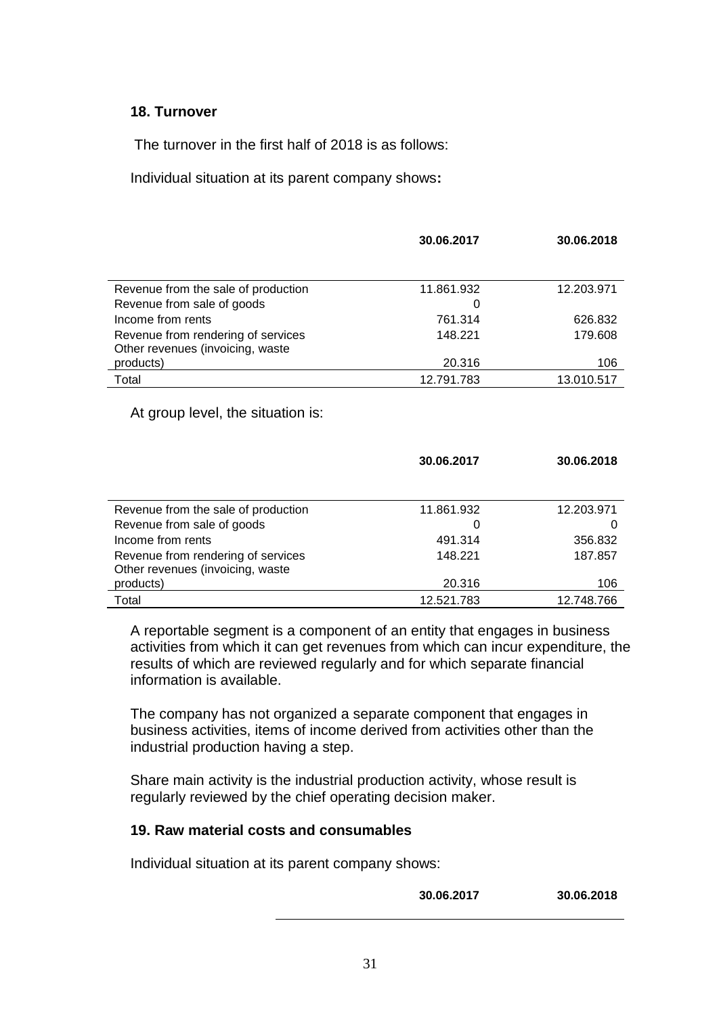#### **18. Turnover**

The turnover in the first half of 2018 is as follows:

Individual situation at its parent company shows**:**

| 30.06.2017 | 30.06.2018 |
|------------|------------|
|            |            |
| 11.861.932 | 12.203.971 |
| 0          |            |
| 761.314    | 626.832    |
| 148.221    | 179.608    |
|            |            |
| 20.316     | 106        |
| 12.791.783 | 13.010.517 |
|            |            |

At group level, the situation is:

|                                     | 30.06.2017 | 30.06.2018 |
|-------------------------------------|------------|------------|
|                                     |            |            |
| Revenue from the sale of production | 11.861.932 | 12.203.971 |
| Revenue from sale of goods          |            |            |
| Income from rents                   | 491.314    | 356.832    |
| Revenue from rendering of services  | 148.221    | 187.857    |
| Other revenues (invoicing, waste    |            |            |
| products)                           | 20.316     | 106        |
| Total                               | 12.521.783 | 12.748.766 |

A reportable segment is a component of an entity that engages in business activities from which it can get revenues from which can incur expenditure, the results of which are reviewed regularly and for which separate financial information is available.

The company has not organized a separate component that engages in business activities, items of income derived from activities other than the industrial production having a step.

Share main activity is the industrial production activity, whose result is regularly reviewed by the chief operating decision maker.

### **19. Raw material costs and consumables**

Individual situation at its parent company shows:

**30.06.2017 30.06.2018**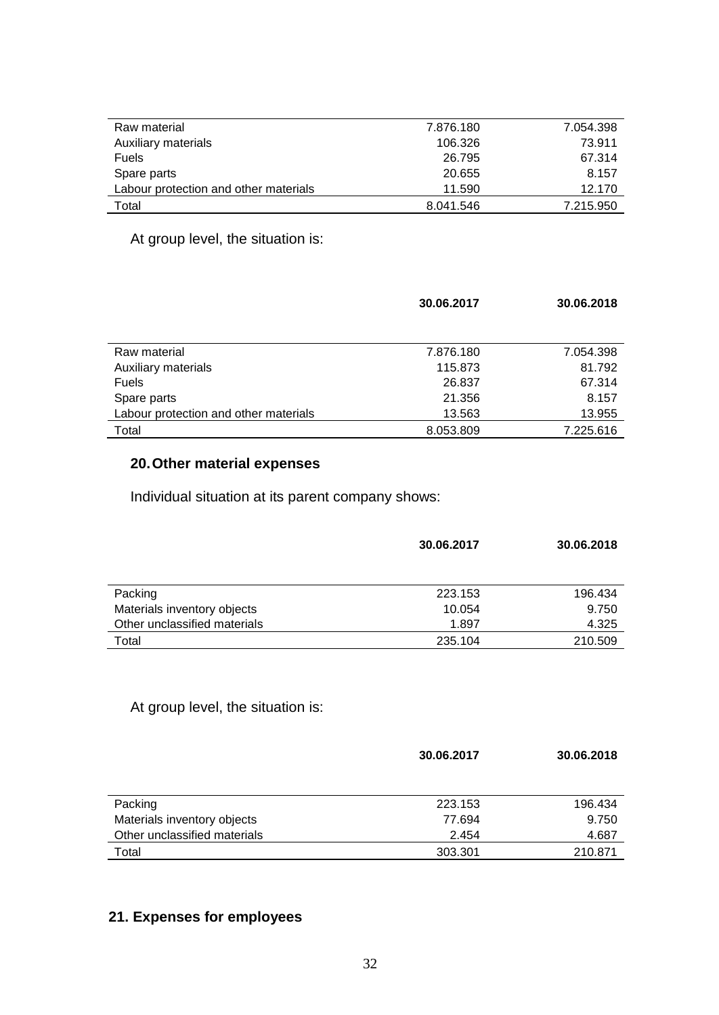| Raw material                          | 7.876.180 | 7.054.398 |
|---------------------------------------|-----------|-----------|
| Auxiliary materials                   | 106.326   | 73.911    |
| <b>Fuels</b>                          | 26.795    | 67.314    |
| Spare parts                           | 20.655    | 8.157     |
| Labour protection and other materials | 11.590    | 12.170    |
| Total                                 | 8.041.546 | 7.215.950 |

At group level, the situation is:

|                                       | 30.06.2017 | 30.06.2018 |
|---------------------------------------|------------|------------|
|                                       |            |            |
|                                       |            |            |
| Raw material                          | 7.876.180  | 7.054.398  |
| Auxiliary materials                   | 115.873    | 81.792     |
| <b>Fuels</b>                          | 26.837     | 67.314     |
| Spare parts                           | 21.356     | 8.157      |
| Labour protection and other materials | 13.563     | 13.955     |
| Total                                 | 8.053.809  | 7.225.616  |

# **20.Other material expenses**

Individual situation at its parent company shows:

|                              | 30.06.2017 | 30.06.2018 |
|------------------------------|------------|------------|
|                              |            |            |
| Packing                      | 223.153    | 196.434    |
| Materials inventory objects  | 10.054     | 9.750      |
| Other unclassified materials | 1.897      | 4.325      |
| Total                        | 235.104    | 210.509    |

# At group level, the situation is:

|                              | 30.06.2017 | 30.06.2018 |
|------------------------------|------------|------------|
| Packing                      | 223.153    | 196.434    |
| Materials inventory objects  | 77.694     | 9.750      |
| Other unclassified materials | 2.454      | 4.687      |
| Total                        | 303.301    | 210.871    |

# **21. Expenses for employees**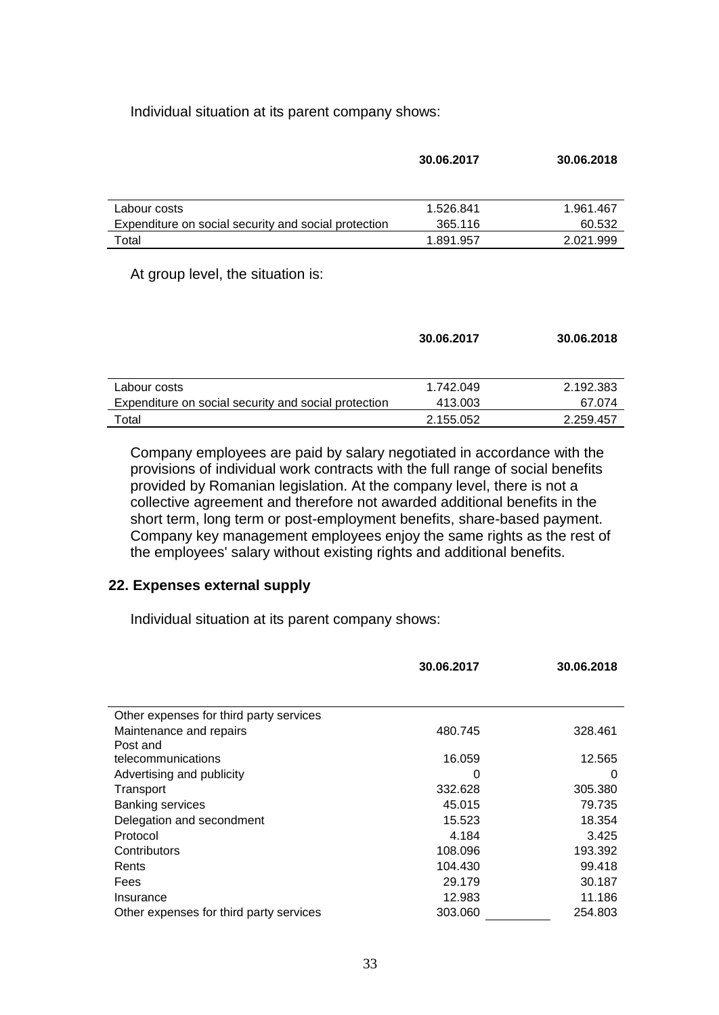Individual situation at its parent company shows:

| 30.06.2017 | 30.06.2018 |
|------------|------------|
|            |            |
| 1.526.841  | 1.961.467  |
| 365.116    | 60.532     |
| 1.891.957  | 2.021.999  |
|            |            |

At group level, the situation is:

|                                                      | 30.06.2017 | 30.06.2018 |
|------------------------------------------------------|------------|------------|
|                                                      |            |            |
| Labour costs                                         | 1.742.049  | 2.192.383  |
| Expenditure on social security and social protection | 413.003    | 67.074     |
| Total                                                | 2.155.052  | 2.259.457  |

Company employees are paid by salary negotiated in accordance with the provisions of individual work contracts with the full range of social benefits provided by Romanian legislation. At the company level, there is not a collective agreement and therefore not awarded additional benefits in the short term, long term or post-employment benefits, share-based payment. Company key management employees enjoy the same rights as the rest of the employees' salary without existing rights and additional benefits.

#### **22. Expenses external supply**

Individual situation at its parent company shows:

|                                         | 30.06.2017 | 30.06.2018 |
|-----------------------------------------|------------|------------|
|                                         |            |            |
| Other expenses for third party services |            |            |
| Maintenance and repairs                 | 480.745    | 328.461    |
| Post and                                |            |            |
| telecommunications                      | 16.059     | 12.565     |
| Advertising and publicity               | 0          | 0          |
| Transport                               | 332.628    | 305.380    |
| <b>Banking services</b>                 | 45.015     | 79.735     |
| Delegation and secondment               | 15.523     | 18.354     |
| Protocol                                | 4.184      | 3.425      |
| Contributors                            | 108.096    | 193.392    |
| Rents                                   | 104.430    | 99.418     |
| Fees                                    | 29.179     | 30.187     |
| Insurance                               | 12.983     | 11.186     |
| Other expenses for third party services | 303.060    | 254.803    |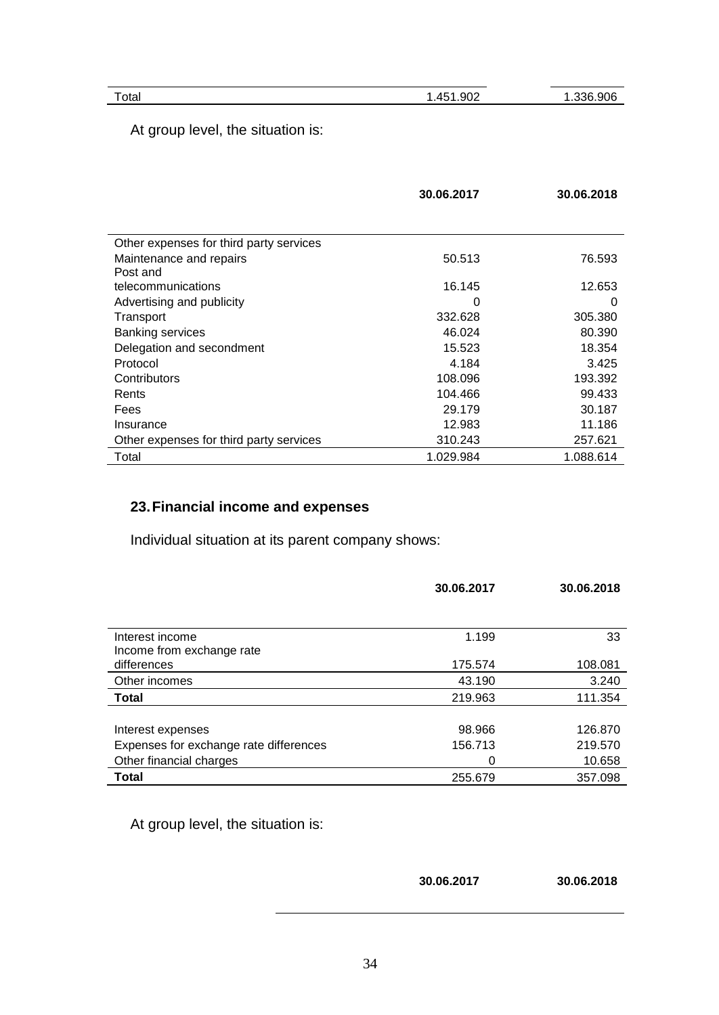34

At group level, the situation is:

|                                         | 30.06.2017 | 30.06.2018 |
|-----------------------------------------|------------|------------|
|                                         |            |            |
| Other expenses for third party services |            |            |
| Maintenance and repairs                 | 50.513     | 76.593     |
| Post and                                |            |            |
| telecommunications                      | 16.145     | 12.653     |
| Advertising and publicity               | O          | 0          |
| Transport                               | 332.628    | 305.380    |
| <b>Banking services</b>                 | 46.024     | 80.390     |
| Delegation and secondment               | 15.523     | 18.354     |
| Protocol                                | 4.184      | 3.425      |
| Contributors                            | 108.096    | 193.392    |
| Rents                                   | 104.466    | 99.433     |
| Fees                                    | 29.179     | 30.187     |
| Insurance                               | 12.983     | 11.186     |
| Other expenses for third party services | 310.243    | 257.621    |
| Total                                   | 1.029.984  | 1.088.614  |

# **23.Financial income and expenses**

Individual situation at its parent company shows:

|                                        | 30.06.2017 | 30.06.2018 |
|----------------------------------------|------------|------------|
|                                        |            |            |
| Interest income                        | 1.199      | 33         |
| Income from exchange rate              |            |            |
| differences                            | 175.574    | 108.081    |
| Other incomes                          | 43.190     | 3.240      |
| <b>Total</b>                           | 219.963    | 111.354    |
|                                        |            |            |
| Interest expenses                      | 98.966     | 126,870    |
| Expenses for exchange rate differences | 156.713    | 219.570    |
| Other financial charges                | 0          | 10.658     |
| Total                                  | 255.679    | 357.098    |

At group level, the situation is:

| 30.06.2017 | 30.06.2018 |
|------------|------------|
|            |            |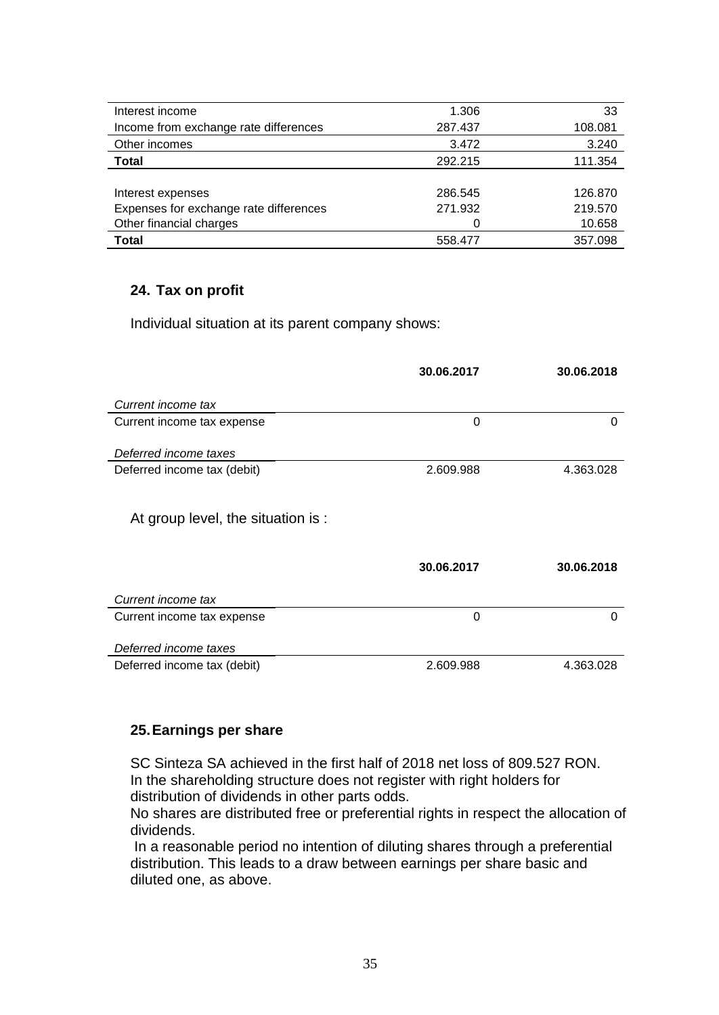| Interest income                        | 1.306   | 33      |
|----------------------------------------|---------|---------|
| Income from exchange rate differences  | 287.437 | 108.081 |
| Other incomes                          | 3.472   | 3.240   |
| <b>Total</b>                           | 292.215 | 111.354 |
|                                        |         |         |
| Interest expenses                      | 286.545 | 126.870 |
| Expenses for exchange rate differences | 271.932 | 219.570 |
| Other financial charges                |         | 10.658  |
| <b>Total</b>                           | 558.477 | 357.098 |

### **24. Tax on profit**

Individual situation at its parent company shows:

|                                    | 30.06.2017 | 30.06.2018 |
|------------------------------------|------------|------------|
| Current income tax                 |            |            |
| Current income tax expense         | 0          | 0          |
| Deferred income taxes              |            |            |
| Deferred income tax (debit)        | 2.609.988  | 4.363.028  |
|                                    |            |            |
| At group level, the situation is : |            |            |
|                                    |            |            |
|                                    | 30.06.2017 | 30.06.2018 |
| Current income tax                 |            |            |
| Current income tax expense         | 0          | 0          |
| Deferred income taxes              |            |            |
| Deferred income tax (debit)        | 2.609.988  | 4.363.028  |

#### **25.Earnings per share**

SC Sinteza SA achieved in the first half of 2018 net loss of 809.527 RON. In the shareholding structure does not register with right holders for distribution of dividends in other parts odds.

No shares are distributed free or preferential rights in respect the allocation of dividends.

In a reasonable period no intention of diluting shares through a preferential distribution. This leads to a draw between earnings per share basic and diluted one, as above.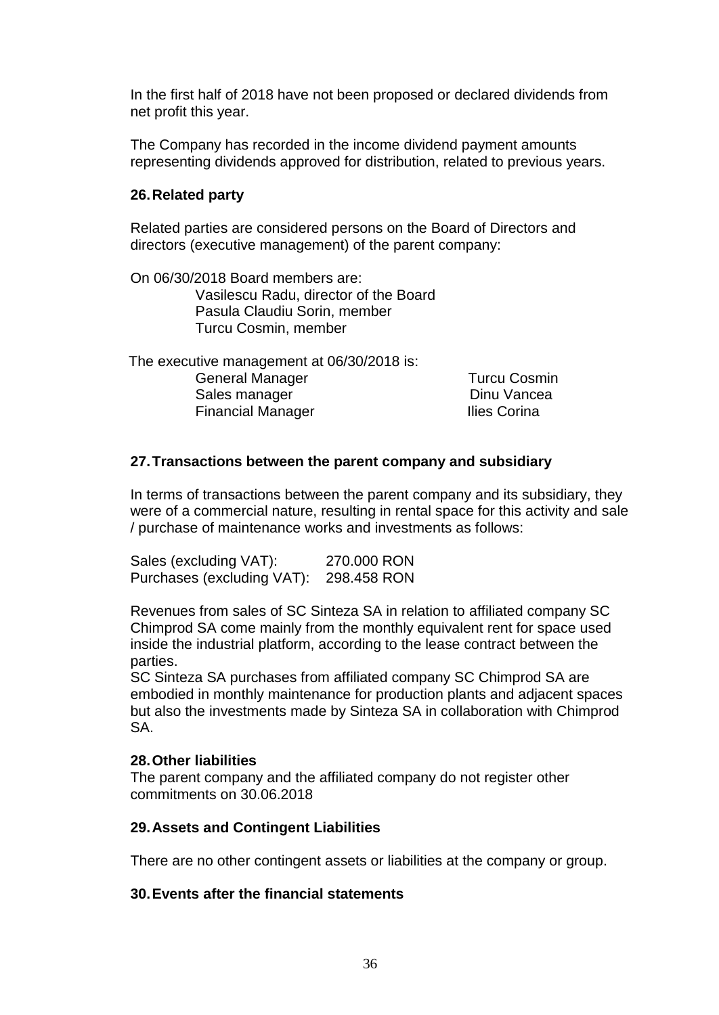In the first half of 2018 have not been proposed or declared dividends from net profit this year.

The Company has recorded in the income dividend payment amounts representing dividends approved for distribution, related to previous years.

### **26.Related party**

Related parties are considered persons on the Board of Directors and directors (executive management) of the parent company:

On 06/30/2018 Board members are: Vasilescu Radu, director of the Board Pasula Claudiu Sorin, member Turcu Cosmin, member

 The executive management at 06/30/2018 is: General Manager **Turcu Cosmin** Sales manager **Dinu Vancea** 

Financial Manager **Ilies Corina** 

### **27.Transactions between the parent company and subsidiary**

In terms of transactions between the parent company and its subsidiary, they were of a commercial nature, resulting in rental space for this activity and sale / purchase of maintenance works and investments as follows:

Sales (excluding VAT): 270.000 RON Purchases (excluding VAT): 298.458 RON

Revenues from sales of SC Sinteza SA in relation to affiliated company SC Chimprod SA come mainly from the monthly equivalent rent for space used inside the industrial platform, according to the lease contract between the parties.

SC Sinteza SA purchases from affiliated company SC Chimprod SA are embodied in monthly maintenance for production plants and adjacent spaces but also the investments made by Sinteza SA in collaboration with Chimprod SA.

### **28.Other liabilities**

The parent company and the affiliated company do not register other commitments on 30.06.2018

### **29.Assets and Contingent Liabilities**

There are no other contingent assets or liabilities at the company or group.

### **30.Events after the financial statements**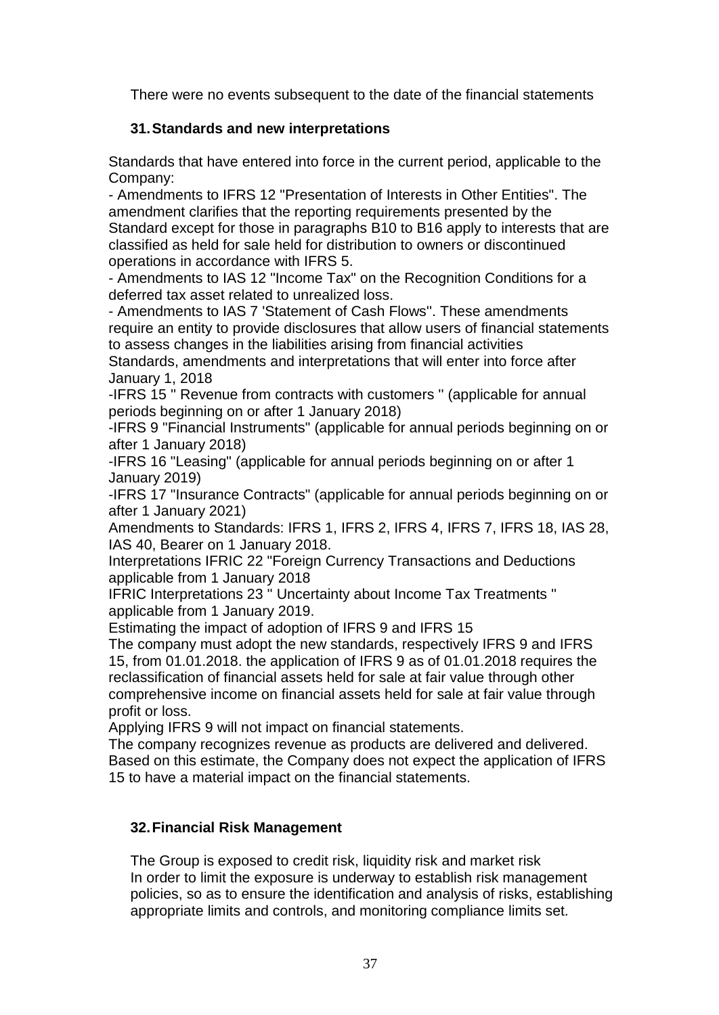There were no events subsequent to the date of the financial statements

## **31.Standards and new interpretations**

Standards that have entered into force in the current period, applicable to the Company:

- Amendments to IFRS 12 "Presentation of Interests in Other Entities". The amendment clarifies that the reporting requirements presented by the Standard except for those in paragraphs B10 to B16 apply to interests that are classified as held for sale held for distribution to owners or discontinued operations in accordance with IFRS 5.

- Amendments to IAS 12 "Income Tax" on the Recognition Conditions for a deferred tax asset related to unrealized loss.

- Amendments to IAS 7 'Statement of Cash Flows''. These amendments require an entity to provide disclosures that allow users of financial statements to assess changes in the liabilities arising from financial activities

Standards, amendments and interpretations that will enter into force after January 1, 2018

-IFRS 15 '' Revenue from contracts with customers '' (applicable for annual periods beginning on or after 1 January 2018)

-IFRS 9 "Financial Instruments" (applicable for annual periods beginning on or after 1 January 2018)

-IFRS 16 "Leasing" (applicable for annual periods beginning on or after 1 January 2019)

-IFRS 17 "Insurance Contracts" (applicable for annual periods beginning on or after 1 January 2021)

Amendments to Standards: IFRS 1, IFRS 2, IFRS 4, IFRS 7, IFRS 18, IAS 28, IAS 40, Bearer on 1 January 2018.

Interpretations IFRIC 22 "Foreign Currency Transactions and Deductions applicable from 1 January 2018

IFRIC Interpretations 23 '' Uncertainty about Income Tax Treatments '' applicable from 1 January 2019.

Estimating the impact of adoption of IFRS 9 and IFRS 15

The company must adopt the new standards, respectively IFRS 9 and IFRS 15, from 01.01.2018. the application of IFRS 9 as of 01.01.2018 requires the reclassification of financial assets held for sale at fair value through other comprehensive income on financial assets held for sale at fair value through profit or loss.

Applying IFRS 9 will not impact on financial statements.

The company recognizes revenue as products are delivered and delivered. Based on this estimate, the Company does not expect the application of IFRS 15 to have a material impact on the financial statements.

## **32.Financial Risk Management**

The Group is exposed to credit risk, liquidity risk and market risk In order to limit the exposure is underway to establish risk management policies, so as to ensure the identification and analysis of risks, establishing appropriate limits and controls, and monitoring compliance limits set.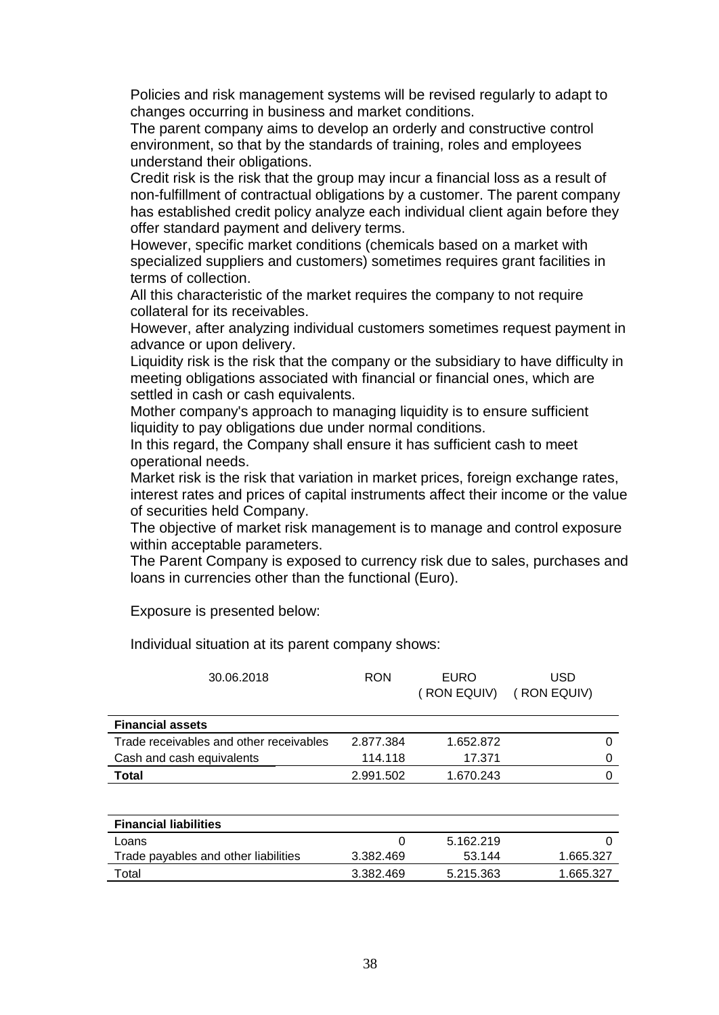Policies and risk management systems will be revised regularly to adapt to changes occurring in business and market conditions.

The parent company aims to develop an orderly and constructive control environment, so that by the standards of training, roles and employees understand their obligations.

Credit risk is the risk that the group may incur a financial loss as a result of non-fulfillment of contractual obligations by a customer. The parent company has established credit policy analyze each individual client again before they offer standard payment and delivery terms.

However, specific market conditions (chemicals based on a market with specialized suppliers and customers) sometimes requires grant facilities in terms of collection.

All this characteristic of the market requires the company to not require collateral for its receivables.

However, after analyzing individual customers sometimes request payment in advance or upon delivery.

Liquidity risk is the risk that the company or the subsidiary to have difficulty in meeting obligations associated with financial or financial ones, which are settled in cash or cash equivalents.

Mother company's approach to managing liquidity is to ensure sufficient liquidity to pay obligations due under normal conditions.

In this regard, the Company shall ensure it has sufficient cash to meet operational needs.

Market risk is the risk that variation in market prices, foreign exchange rates, interest rates and prices of capital instruments affect their income or the value of securities held Company.

The objective of market risk management is to manage and control exposure within acceptable parameters.

The Parent Company is exposed to currency risk due to sales, purchases and loans in currencies other than the functional (Euro).

Exposure is presented below:

Individual situation at its parent company shows:

| <b>RON</b> | <b>EURO</b><br>(RON EQUIV) | USD<br>(RON EQUIV) |   |
|------------|----------------------------|--------------------|---|
|            |                            |                    |   |
| 2.877.384  | 1.652.872                  |                    | 0 |
| 114.118    | 17.371                     |                    | 0 |
| 2.991.502  | 1.670.243                  |                    | 0 |
|            |                            |                    |   |
|            |                            |                    |   |

|           | 5.162.219 |           |
|-----------|-----------|-----------|
| 3.382.469 | 53.144    | 1.665.327 |
| 3.382.469 | 5.215.363 | 1.665.327 |
|           |           |           |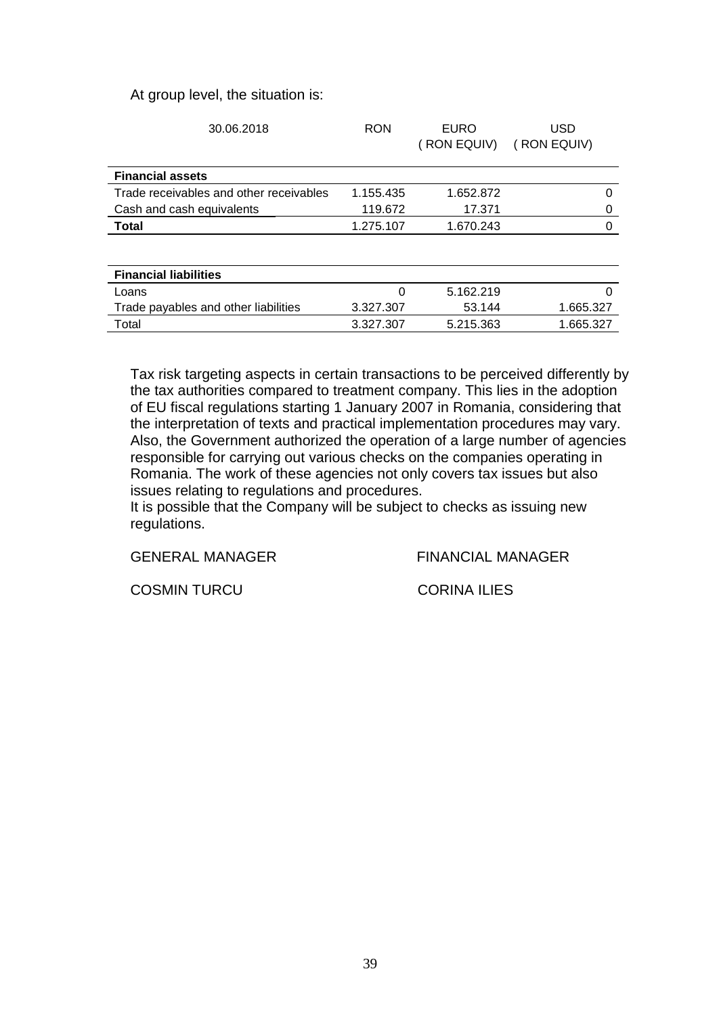#### At group level, the situation is:

| 30.06.2018                              | <b>RON</b> | <b>EURO</b><br>(RON EQUIV) | USD<br>(RON EQUIV) |
|-----------------------------------------|------------|----------------------------|--------------------|
| <b>Financial assets</b>                 |            |                            |                    |
| Trade receivables and other receivables | 1.155.435  | 1.652.872                  | 0                  |
| Cash and cash equivalents               | 119.672    | 17.371                     | 0                  |
| <b>Total</b>                            | 1.275.107  | 1.670.243                  | 0                  |
|                                         |            |                            |                    |
| <b>Financial liabilities</b>            |            |                            |                    |
| Loans                                   | 0          | 5.162.219                  | $\Omega$           |
| Trade payables and other liabilities    | 3.327.307  | 53.144                     | 1.665.327          |
| Total                                   | 3.327.307  | 5.215.363                  | 1.665.327          |
|                                         |            |                            |                    |

Tax risk targeting aspects in certain transactions to be perceived differently by the tax authorities compared to treatment company. This lies in the adoption of EU fiscal regulations starting 1 January 2007 in Romania, considering that the interpretation of texts and practical implementation procedures may vary. Also, the Government authorized the operation of a large number of agencies responsible for carrying out various checks on the companies operating in Romania. The work of these agencies not only covers tax issues but also issues relating to regulations and procedures.

It is possible that the Company will be subject to checks as issuing new regulations.

GENERAL MANAGER FINANCIAL MANAGER

COSMIN TURCU CORINA ILIES